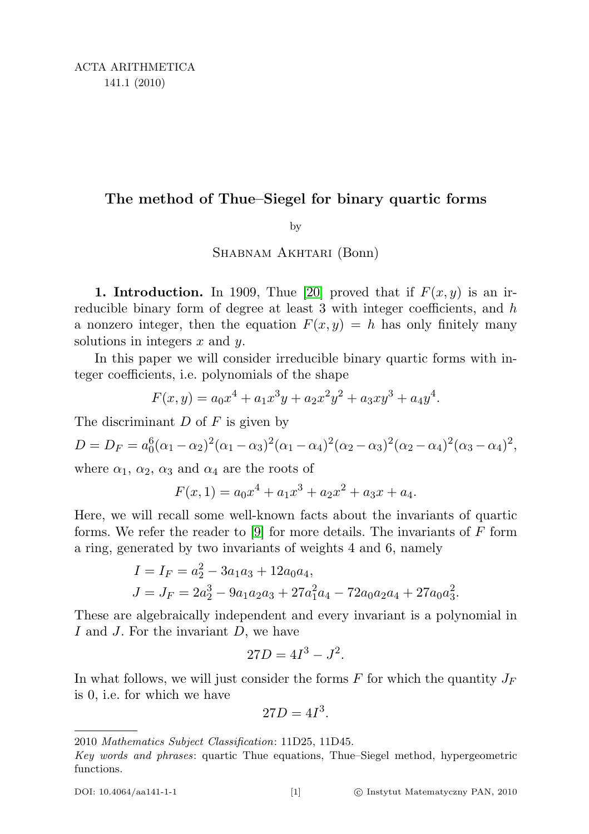# The method of Thue–Siegel for binary quartic forms

by

# Shabnam Akhtari (Bonn)

1. Introduction. In 1909, Thue [\[20\]](#page-30-0) proved that if  $F(x, y)$  is an irreducible binary form of degree at least  $3$  with integer coefficients, and  $h$ a nonzero integer, then the equation  $F(x, y) = h$  has only finitely many solutions in integers  $x$  and  $y$ .

In this paper we will consider irreducible binary quartic forms with integer coefficients, i.e. polynomials of the shape

$$
F(x,y) = a_0x^4 + a_1x^3y + a_2x^2y^2 + a_3xy^3 + a_4y^4.
$$

The discriminant  $D$  of  $F$  is given by

$$
D = D_F = a_0^6(\alpha_1 - \alpha_2)^2(\alpha_1 - \alpha_3)^2(\alpha_1 - \alpha_4)^2(\alpha_2 - \alpha_3)^2(\alpha_2 - \alpha_4)^2(\alpha_3 - \alpha_4)^2,
$$

where  $\alpha_1$ ,  $\alpha_2$ ,  $\alpha_3$  and  $\alpha_4$  are the roots of

$$
F(x, 1) = a_0 x^4 + a_1 x^3 + a_2 x^2 + a_3 x + a_4.
$$

Here, we will recall some well-known facts about the invariants of quartic forms. We refer the reader to [\[9\]](#page-29-0) for more details. The invariants of  $F$  form a ring, generated by two invariants of weights 4 and 6, namely

$$
I = I_F = a_2^2 - 3a_1a_3 + 12a_0a_4,
$$
  
\n
$$
J = J_F = 2a_2^3 - 9a_1a_2a_3 + 27a_1^2a_4 - 72a_0a_2a_4 + 27a_0a_3^2.
$$

These are algebraically independent and every invariant is a polynomial in I and J. For the invariant D, we have

$$
27D = 4I^3 - J^2.
$$

In what follows, we will just consider the forms  $F$  for which the quantity  $J_F$ is 0, i.e. for which we have

$$
27D = 4I^3.
$$

<sup>2010</sup> Mathematics Subject Classification: 11D25, 11D45.

Key words and phrases: quartic Thue equations, Thue–Siegel method, hypergeometric functions.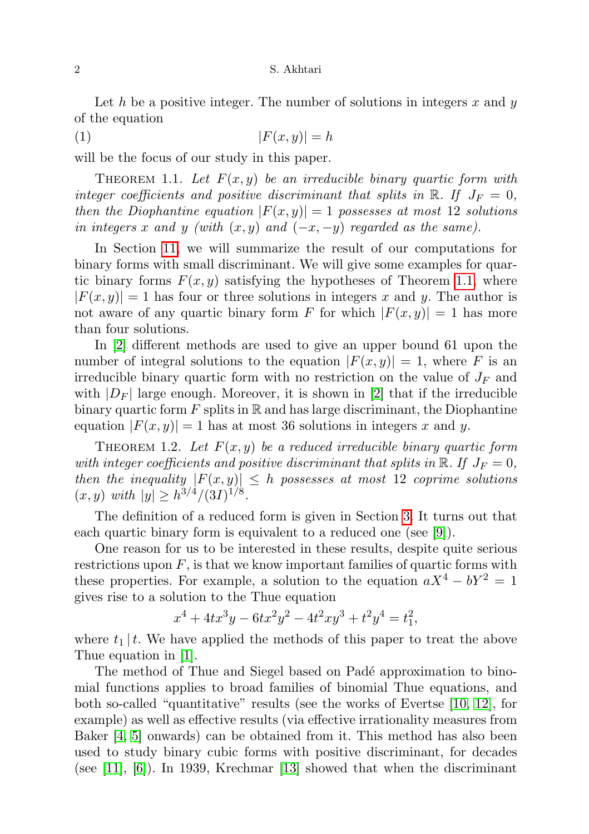Let h be a positive integer. The number of solutions in integers  $x$  and  $y$ of the equation

<span id="page-1-1"></span>(1)  $|F(x, y)| = h$ 

will be the focus of our study in this paper.

<span id="page-1-0"></span>THEOREM 1.1. Let  $F(x, y)$  be an irreducible binary quartic form with integer coefficients and positive discriminant that splits in  $\mathbb{R}$ . If  $J_F = 0$ , then the Diophantine equation  $|F(x, y)| = 1$  possesses at most 12 solutions in integers x and y (with  $(x, y)$  and  $(-x, -y)$  regarded as the same).

In Section [11,](#page-27-0) we will summarize the result of our computations for binary forms with small discriminant. We will give some examples for quartic binary forms  $F(x, y)$  satisfying the hypotheses of Theorem [1.1,](#page-1-0) where  $|F(x, y)| = 1$  has four or three solutions in integers x and y. The author is not aware of any quartic binary form F for which  $|F(x, y)| = 1$  has more than four solutions.

In [\[2\]](#page-29-1) different methods are used to give an upper bound 61 upon the number of integral solutions to the equation  $|F(x, y)| = 1$ , where F is an irreducible binary quartic form with no restriction on the value of  $J_F$  and with  $|D_F|$  large enough. Moreover, it is shown in [\[2\]](#page-29-1) that if the irreducible binary quartic form  $F$  splits in  $\mathbb R$  and has large discriminant, the Diophantine equation  $|F(x, y)| = 1$  has at most 36 solutions in integers x and y.

<span id="page-1-2"></span>THEOREM 1.2. Let  $F(x, y)$  be a reduced irreducible binary quartic form with integer coefficients and positive discriminant that splits in  $\mathbb{R}$ . If  $J_F = 0$ , then the inequality  $|F(x,y)| \leq h$  possesses at most 12 coprime solutions  $(x, y)$  with  $|y| \geq h^{3/4}/(3I)^{1/8}$ .

The definition of a reduced form is given in Section [3.](#page-3-0) It turns out that each quartic binary form is equivalent to a reduced one (see [\[9\]](#page-29-0)).

One reason for us to be interested in these results, despite quite serious restrictions upon  $F$ , is that we know important families of quartic forms with these properties. For example, a solution to the equation  $aX^4 - bY^2 = 1$ gives rise to a solution to the Thue equation

$$
x^4 + 4tx^3y - 6tx^2y^2 - 4t^2xy^3 + t^2y^4 = t_1^2,
$$

where  $t_1 | t$ . We have applied the methods of this paper to treat the above Thue equation in [\[1\]](#page-29-2).

The method of Thue and Siegel based on Padé approximation to binomial functions applies to broad families of binomial Thue equations, and both so-called "quantitative" results (see the works of Evertse [\[10,](#page-29-3) [12\]](#page-29-4), for example) as well as effective results (via effective irrationality measures from Baker [\[4,](#page-29-5) [5\]](#page-29-6) onwards) can be obtained from it. This method has also been used to study binary cubic forms with positive discriminant, for decades (see  $[11]$ ,  $[6]$ ). In 1939, Krechmar  $[13]$  showed that when the discriminant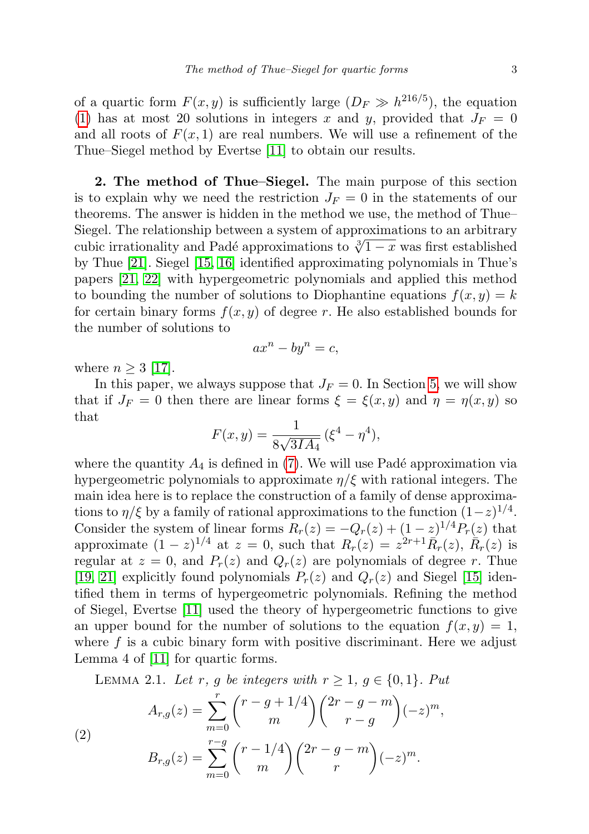of a quartic form  $F(x, y)$  is sufficiently large  $(D_F \gg h^{216/5})$ , the equation [\(1\)](#page-1-1) has at most 20 solutions in integers x and y, provided that  $J_F = 0$ and all roots of  $F(x, 1)$  are real numbers. We will use a refinement of the Thue–Siegel method by Evertse [\[11\]](#page-29-7) to obtain our results.

2. The method of Thue–Siegel. The main purpose of this section is to explain why we need the restriction  $J_F = 0$  in the statements of our theorems. The answer is hidden in the method we use, the method of Thue– Siegel. The relationship between a system of approximations to an arbitrary sieger. The relationship between a system of approximations to an arbitrary cubic irrationality and Padé approximations to  $\sqrt[3]{1-x}$  was first established by Thue [\[21\]](#page-30-1). Siegel [\[15,](#page-30-2) [16\]](#page-30-3) identified approximating polynomials in Thue's papers [\[21,](#page-30-1) [22\]](#page-30-4) with hypergeometric polynomials and applied this method to bounding the number of solutions to Diophantine equations  $f(x, y) = k$ for certain binary forms  $f(x, y)$  of degree r. He also established bounds for the number of solutions to

$$
ax^n - by^n = c,
$$

where  $n \geq 3$  [\[17\]](#page-30-5).

In this paper, we always suppose that  $J_F = 0$ . In Section [5,](#page-10-0) we will show that if  $J_F = 0$  then there are linear forms  $\xi = \xi(x, y)$  and  $\eta = \eta(x, y)$  so that

$$
F(x, y) = \frac{1}{8\sqrt{3IA_4}} (\xi^4 - \eta^4),
$$

where the quantity  $A_4$  is defined in [\(7\)](#page-3-0). We will use Padé approximation via hypergeometric polynomials to approximate  $\eta/\xi$  with rational integers. The main idea here is to replace the construction of a family of dense approximations to  $\eta/\xi$  by a family of rational approximations to the function  $(1-z)^{1/4}$ . Consider the system of linear forms  $R_r(z) = -Q_r(z) + (1-z)^{1/4} P_r(z)$  that approximate  $(1-z)^{1/4}$  at  $z=0$ , such that  $R_r(z) = z^{2r+1} \overline{R}_r(z)$ ,  $\overline{R}_r(z)$  is regular at  $z = 0$ , and  $P_r(z)$  and  $Q_r(z)$  are polynomials of degree r. Thue [\[19,](#page-30-6) [21\]](#page-30-1) explicitly found polynomials  $P_r(z)$  and  $Q_r(z)$  and Siegel [\[15\]](#page-30-2) identified them in terms of hypergeometric polynomials. Refining the method of Siegel, Evertse [\[11\]](#page-29-7) used the theory of hypergeometric functions to give an upper bound for the number of solutions to the equation  $f(x, y) = 1$ , where  $f$  is a cubic binary form with positive discriminant. Here we adjust Lemma 4 of [\[11\]](#page-29-7) for quartic forms.

<span id="page-2-1"></span><span id="page-2-0"></span>LEMMA 2.1. Let r, g be integers with  $r \geq 1$ ,  $g \in \{0, 1\}$ . Put

(2)  

$$
A_{r,g}(z) = \sum_{m=0}^{r} {r - g + 1/4 \choose m} {2r - g - m \choose r - g} (-z)^m,
$$

$$
B_{r,g}(z) = \sum_{m=0}^{r-g} {r - 1/4 \choose m} {2r - g - m \choose r} (-z)^m.
$$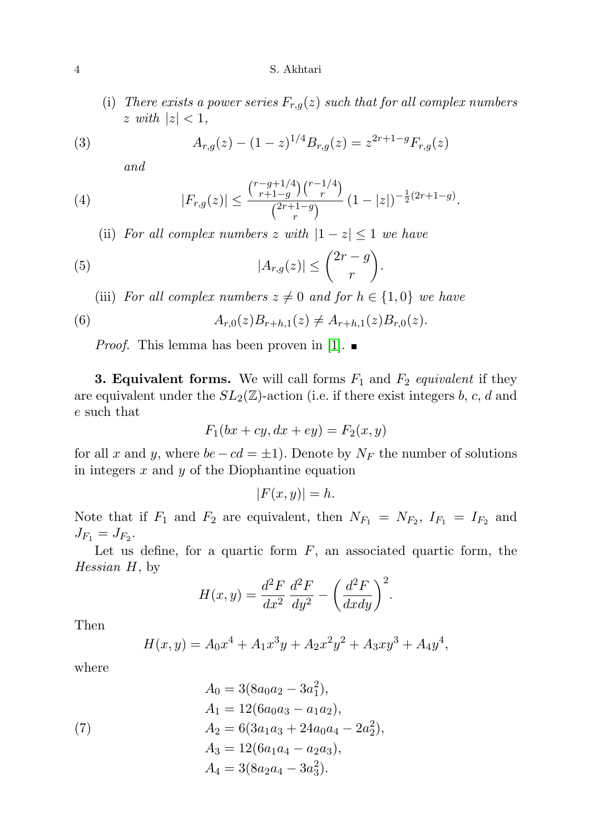#### 4 S. Akhtari

(i) There exists a power series  $F_{r,q}(z)$  such that for all complex numbers  $z \text{ with } |z| < 1,$ 

<span id="page-3-1"></span>(3) 
$$
A_{r,g}(z) - (1-z)^{1/4} B_{r,g}(z) = z^{2r+1-g} F_{r,g}(z)
$$

and

<span id="page-3-2"></span>(4) 
$$
|F_{r,g}(z)| \leq \frac{\binom{r-g+1/4}{r+1-g}\binom{r-1/4}{r}}{\binom{2r+1-g}{r}}(1-|z|)^{-\frac{1}{2}(2r+1-g)}.
$$

(ii) For all complex numbers z with  $|1-z| \leq 1$  we have

<span id="page-3-3"></span>(5) 
$$
|A_{r,g}(z)| \leq {2r - g \choose r}.
$$

(iii) For all complex numbers  $z \neq 0$  and for  $h \in \{1,0\}$  we have

(6) 
$$
A_{r,0}(z)B_{r+h,1}(z) \neq A_{r+h,1}(z)B_{r,0}(z).
$$

*Proof.* This lemma has been proven in [\[1\]](#page-29-2).  $\blacksquare$ 

<span id="page-3-0"></span>**3. Equivalent forms.** We will call forms  $F_1$  and  $F_2$  equivalent if they are equivalent under the  $SL_2(\mathbb{Z})$ -action (i.e. if there exist integers b, c, d and e such that

$$
F_1(bx+cy, dx+ey) = F_2(x,y)
$$

for all x and y, where  $be - cd = \pm 1$ ). Denote by  $N_F$  the number of solutions in integers  $x$  and  $y$  of the Diophantine equation

$$
|F(x,y)| = h.
$$

Note that if  $F_1$  and  $F_2$  are equivalent, then  $N_{F_1} = N_{F_2}$ ,  $I_{F_1} = I_{F_2}$  and  $J_{F_1} = J_{F_2}.$ 

Let us define, for a quartic form  $F$ , an associated quartic form, the Hessian H, by

$$
H(x,y) = \frac{d^2F}{dx^2} \frac{d^2F}{dy^2} - \left(\frac{d^2F}{dxdy}\right)^2.
$$

Then

$$
H(x,y) = A_0 x^4 + A_1 x^3 y + A_2 x^2 y^2 + A_3 x y^3 + A_4 y^4,
$$

where

(7) 
$$
A_0 = 3(8a_0a_2 - 3a_1^2),
$$

$$
A_1 = 12(6a_0a_3 - a_1a_2),
$$

$$
A_2 = 6(3a_1a_3 + 24a_0a_4 - 2a_2^2),
$$

$$
A_3 = 12(6a_1a_4 - a_2a_3),
$$

$$
A_4 = 3(8a_2a_4 - 3a_3^2).
$$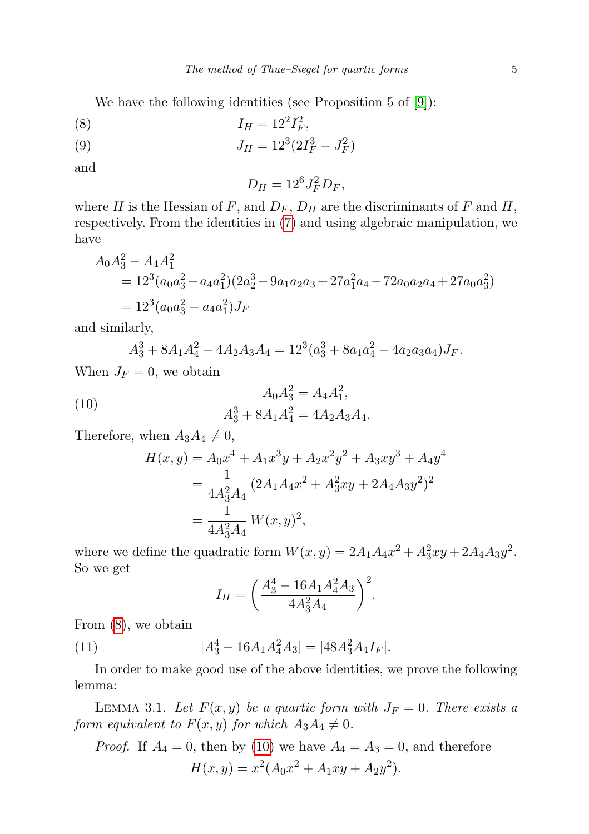We have the following identities (see Proposition 5 of [\[9\]](#page-29-0)):

<span id="page-4-0"></span>
$$
(8) \t\t I_H = 12^2 I_F^2,
$$

<span id="page-4-2"></span>(9) 
$$
J_H = 12^3 (2I_F^3 - J_F^2)
$$

and

$$
D_H = 12^6 J_F^2 D_F,
$$

where H is the Hessian of F, and  $D_F$ ,  $D_H$  are the discriminants of F and H, respectively. From the identities in [\(7\)](#page-3-0) and using algebraic manipulation, we have

$$
A_0 A_3^2 - A_4 A_1^2
$$
  
=  $12^3 (a_0 a_3^2 - a_4 a_1^2) (2a_2^3 - 9a_1 a_2 a_3 + 27a_1^2 a_4 - 72a_0 a_2 a_4 + 27a_0 a_3^2)$   
=  $12^3 (a_0 a_3^2 - a_4 a_1^2) J_F$ 

and similarly,

$$
A_3^3 + 8A_1A_4^2 - 4A_2A_3A_4 = 12^3(a_3^3 + 8a_1a_4^2 - 4a_2a_3a_4)J_F.
$$

When  $J_F = 0$ , we obtain

(10) 
$$
A_0 A_3^2 = A_4 A_1^2,
$$

$$
A_3^3 + 8A_1 A_4^2 = 4A_2 A_3 A_4.
$$

Therefore, when  $A_3A_4 \neq 0$ ,

<span id="page-4-1"></span>
$$
H(x,y) = A_0 x^4 + A_1 x^3 y + A_2 x^2 y^2 + A_3 x y^3 + A_4 y^4
$$
  
= 
$$
\frac{1}{4A_3^2 A_4} (2A_1 A_4 x^2 + A_3^2 x y + 2A_4 A_3 y^2)^2
$$
  
= 
$$
\frac{1}{4A_3^2 A_4} W(x,y)^2,
$$

where we define the quadratic form  $W(x, y) = 2A_1A_4x^2 + A_3^2xy + 2A_4A_3y^2$ . So we get

<span id="page-4-3"></span>
$$
I_H = \left(\frac{A_3^4 - 16A_1A_4^2A_3}{4A_3^2A_4}\right)^2.
$$

From [\(8\)](#page-4-0), we obtain

(11) 
$$
|A_3^4 - 16A_1A_4^2A_3| = |48A_3^2A_4I_F|.
$$

In order to make good use of the above identities, we prove the following lemma:

<span id="page-4-4"></span>LEMMA 3.1. Let  $F(x, y)$  be a quartic form with  $J_F = 0$ . There exists a form equivalent to  $F(x, y)$  for which  $A_3A_4 \neq 0$ .

*Proof.* If 
$$
A_4 = 0
$$
, then by (10) we have  $A_4 = A_3 = 0$ , and therefore  

$$
H(x, y) = x^2 (A_0 x^2 + A_1 xy + A_2 y^2).
$$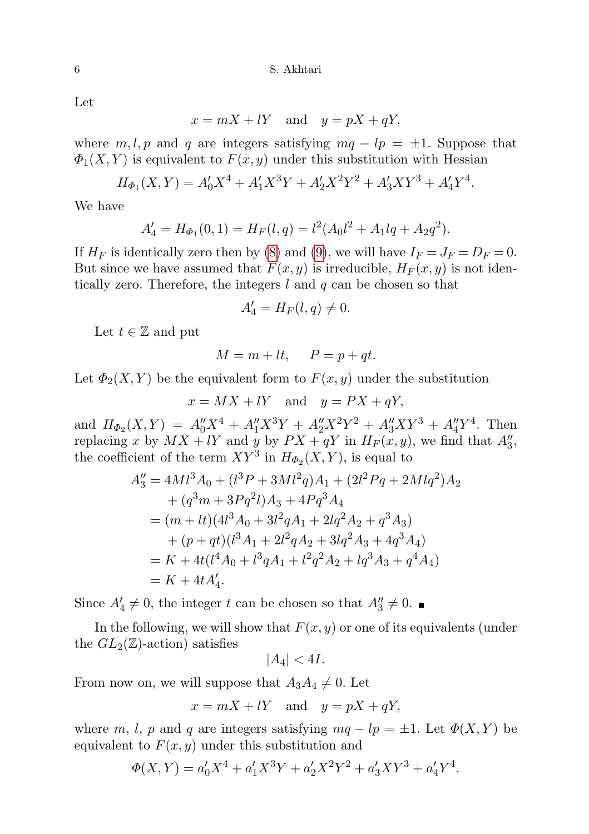Let

 $x = mX + lY$  and  $y = pX + qY$ ,

where  $m, l, p$  and q are integers satisfying  $mq - lp = \pm 1$ . Suppose that  $\Phi_1(X, Y)$  is equivalent to  $F(x, y)$  under this substitution with Hessian

$$
H_{\Phi_1}(X,Y) = A'_0 X^4 + A'_1 X^3 Y + A'_2 X^2 Y^2 + A'_3 XY^3 + A'_4 Y^4.
$$

We have

$$
A'_4 = H_{\Phi_1}(0,1) = H_F(l,q) = l^2(A_0l^2 + A_1lq + A_2q^2).
$$

If  $H_F$  is identically zero then by [\(8\)](#page-4-0) and [\(9\)](#page-4-2), we will have  $I_F = J_F = D_F = 0$ . But since we have assumed that  $F(x, y)$  is irreducible,  $H_F(x, y)$  is not identically zero. Therefore, the integers  $l$  and  $q$  can be chosen so that

$$
A_4' = H_F(l, q) \neq 0.
$$

Let  $t \in \mathbb{Z}$  and put

$$
M = m + lt, \quad P = p + qt.
$$

Let  $\Phi_2(X,Y)$  be the equivalent form to  $F(x, y)$  under the substitution

$$
x = MX + lY \quad \text{and} \quad y = PX + qY,
$$

and  $H_{\Phi_2}(X,Y) = A_0''X^4 + A_1''X^3Y + A_2''X^2Y^2 + A_3''XY^3 + A_4''Y^4$ . Then replacing x by  $MX + lY$  and y by  $PX + qY$  in  $H_F(x, y)$ , we find that  $A''_3$ , the coefficient of the term  $XY^3$  in  $H_{\Phi_2}(X, Y)$ , is equal to

$$
A_3'' = 4Ml^3A_0 + (l^3P + 3Ml^2q)A_1 + (2l^2Pq + 2Mlq^2)A_2
$$
  
+  $(q^3m + 3Pq^2l)A_3 + 4Pq^3A_4$   
=  $(m + lt)(4l^3A_0 + 3l^2qA_1 + 2lq^2A_2 + q^3A_3)$   
+  $(p + qt)(l^3A_1 + 2l^2qA_2 + 3lq^2A_3 + 4q^3A_4)$   
=  $K + 4t(l^4A_0 + l^3qA_1 + l^2q^2A_2 + lq^3A_3 + q^4A_4)$   
=  $K + 4tA'_4.$ 

Since  $A'_4 \neq 0$ , the integer t can be chosen so that  $A''_3 \neq 0$ .

In the following, we will show that  $F(x, y)$  or one of its equivalents (under the  $GL_2(\mathbb{Z})$ -action) satisfies

$$
|A_4| < 4I.
$$

From now on, we will suppose that  $A_3A_4 \neq 0$ . Let

 $x = mX + lY$  and  $y = pX + qY$ ,

where m, l, p and q are integers satisfying  $mq - lp = \pm 1$ . Let  $\Phi(X, Y)$  be equivalent to  $F(x, y)$  under this substitution and

$$
\Phi(X,Y) = a'_0 X^4 + a'_1 X^3 Y + a'_2 X^2 Y^2 + a'_3 XY^3 + a'_4 Y^4.
$$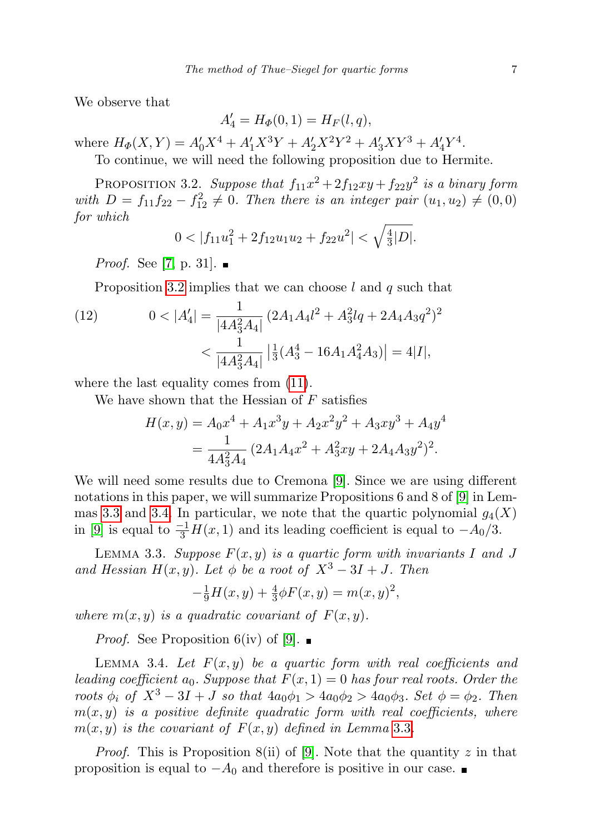We observe that

$$
A'_4 = H_{\Phi}(0,1) = H_F(l,q),
$$

where  $H_{\Phi}(X,Y) = A_0'X^4 + A_1'X^3Y + A_2'X^2Y^2 + A_3'XY^3 + A_4'Y^4$ .

To continue, we will need the following proposition due to Hermite.

<span id="page-6-0"></span>PROPOSITION 3.2. Suppose that  $f_{11}x^2 + 2f_{12}xy + f_{22}y^2$  is a binary form with  $D = f_{11}f_{22} - f_{12}^2 \neq 0$ . Then there is an integer pair  $(u_1, u_2) \neq (0, 0)$ for which

$$
0 < |f_{11}u_1^2 + 2f_{12}u_1u_2 + f_{22}u^2| < \sqrt{\frac{4}{3}|D|}.
$$

*Proof.* See [\[7,](#page-29-10) p. 31].  $\blacksquare$ 

Proposition [3.2](#page-6-0) implies that we can choose  $l$  and  $q$  such that

(12) 
$$
0 < |A'_4| = \frac{1}{|4A_3^2A_4|} (2A_1A_4l^2 + A_3^2lq + 2A_4A_3q^2)^2 < \frac{1}{|4A_3^2A_4|} |\frac{1}{3}(A_3^4 - 16A_1A_4^2A_3)| = 4|I|,
$$

where the last equality comes from [\(11\)](#page-4-3).

We have shown that the Hessian of  $F$  satisfies

$$
H(x,y) = A_0 x^4 + A_1 x^3 y + A_2 x^2 y^2 + A_3 x y^3 + A_4 y^4
$$
  
= 
$$
\frac{1}{4A_3^2 A_4} (2A_1 A_4 x^2 + A_3^2 x y + 2A_4 A_3 y^2)^2.
$$

We will need some results due to Cremona [\[9\]](#page-29-0). Since we are using different notations in this paper, we will summarize Propositions 6 and 8 of [\[9\]](#page-29-0) in Lem-mas [3.3](#page-6-1) and [3.4.](#page-6-2) In particular, we note that the quartic polynomial  $g_4(X)$ in [\[9\]](#page-29-0) is equal to  $\frac{-1}{3}H(x,1)$  and its leading coefficient is equal to  $-A_0/3$ .

<span id="page-6-1"></span>LEMMA 3.3. Suppose  $F(x, y)$  is a quartic form with invariants I and J and Hessian  $H(x, y)$ . Let  $\phi$  be a root of  $X^3 - 3I + J$ . Then

$$
-\frac{1}{9}H(x,y) + \frac{4}{3}\phi F(x,y) = m(x,y)^2,
$$

where  $m(x, y)$  is a quadratic covariant of  $F(x, y)$ .

*Proof.* See Proposition 6(iv) of [\[9\]](#page-29-0).  $\blacksquare$ 

<span id="page-6-2"></span>LEMMA 3.4. Let  $F(x, y)$  be a quartic form with real coefficients and leading coefficient  $a_0$ . Suppose that  $F(x, 1) = 0$  has four real roots. Order the roots  $\phi_i$  of  $X^3 - 3I + J$  so that  $4a_0\phi_1 > 4a_0\phi_2 > 4a_0\phi_3$ . Set  $\phi = \phi_2$ . Then  $m(x, y)$  is a positive definite quadratic form with real coefficients, where  $m(x, y)$  is the covariant of  $F(x, y)$  defined in Lemma [3](#page-6-1).3.

*Proof.* This is Proposition 8(ii) of [\[9\]](#page-29-0). Note that the quantity z in that proposition is equal to  $-A_0$  and therefore is positive in our case.  $\blacksquare$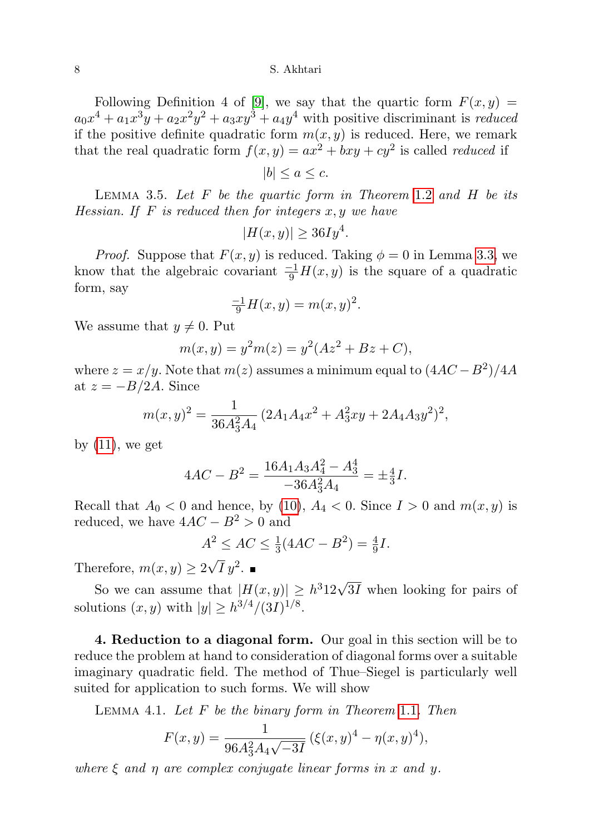8 S. Akhtari

Following Definition 4 of [\[9\]](#page-29-0), we say that the quartic form  $F(x, y) =$  $a_0x^4 + a_1x^3y + a_2x^2y^2 + a_3xy^3 + a_4y^4$  with positive discriminant is *reduced* if the positive definite quadratic form  $m(x, y)$  is reduced. Here, we remark that the real quadratic form  $f(x, y) = ax^2 + bxy + cy^2$  is called *reduced* if

 $|b| \leq a \leq c.$ 

<span id="page-7-1"></span>LEMMA 3.5. Let  $F$  be the quartic form in Theorem [1](#page-1-2).2 and  $H$  be its Hessian. If F is reduced then for integers  $x, y$  we have

$$
|H(x,y)| \ge 36Iy^4.
$$

*Proof.* Suppose that  $F(x, y)$  is reduced. Taking  $\phi = 0$  in Lemma [3.3,](#page-6-1) we know that the algebraic covariant  $\frac{-1}{9}H(x, y)$  is the square of a quadratic form, say

$$
\frac{-1}{9}H(x,y) = m(x,y)^2.
$$

We assume that  $y \neq 0$ . Put

$$
m(x, y) = y^2 m(z) = y^2 (Az^2 + Bz + C),
$$

where  $z = x/y$ . Note that  $m(z)$  assumes a minimum equal to  $(4AC - B<sup>2</sup>)/4A$ at  $z = -B/2A$ . Since

$$
m(x,y)^{2} = \frac{1}{36A_{3}^{2}A_{4}} \left(2A_{1}A_{4}x^{2} + A_{3}^{2}xy + 2A_{4}A_{3}y^{2}\right)^{2},
$$

by  $(11)$ , we get

$$
4AC - B^2 = \frac{16A_1A_3A_4^2 - A_3^4}{-36A_3^2A_4} = \pm \frac{4}{3}I.
$$

Recall that  $A_0 < 0$  and hence, by [\(10\)](#page-4-1),  $A_4 < 0$ . Since  $I > 0$  and  $m(x, y)$  is reduced, we have  $4AC - B^2 > 0$  and

$$
A^2 \le AC \le \frac{1}{3}(4AC - B^2) = \frac{4}{9}I.
$$

Therefore,  $m(x, y) \geq 2$  $\sqrt{I} y^2$ .

So we can assume that  $|H(x,y)| \geq h^3 12\sqrt{3I}$  when looking for pairs of solutions  $(x, y)$  with  $|y| \geq h^{3/4}/(3I)^{1/8}$ .

4. Reduction to a diagonal form. Our goal in this section will be to reduce the problem at hand to consideration of diagonal forms over a suitable imaginary quadratic field. The method of Thue–Siegel is particularly well suited for application to such forms. We will show

<span id="page-7-0"></span>LEMMA 4.[1](#page-1-0). Let  $F$  be the binary form in Theorem 1.1. Then

$$
F(x,y) = \frac{1}{96A_3^2A_4\sqrt{-3I}} (\xi(x,y)^4 - \eta(x,y)^4),
$$

where  $\xi$  and  $\eta$  are complex conjugate linear forms in x and y.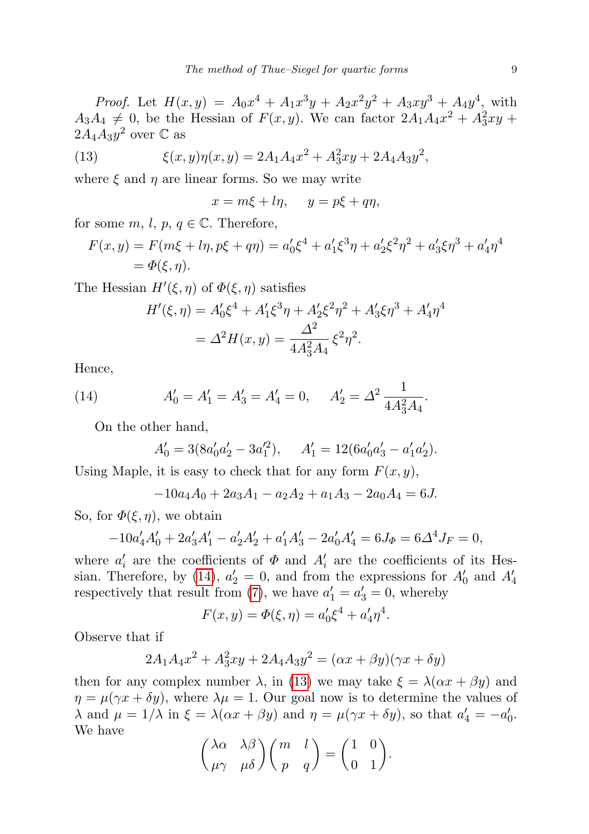*Proof.* Let  $H(x,y) = A_0x^4 + A_1x^3y + A_2x^2y^2 + A_3xy^3 + A_4y^4$ , with  $A_3A_4 \neq 0$ , be the Hessian of  $F(x, y)$ . We can factor  $2A_1A_4x^2 + A_3^2xy +$  $2A_4A_3y^2$  over  $\mathbb C$  as

(13) 
$$
\xi(x,y)\eta(x,y) = 2A_1A_4x^2 + A_3^2xy + 2A_4A_3y^2,
$$

where  $\xi$  and  $\eta$  are linear forms. So we may write

<span id="page-8-1"></span>
$$
x = m\xi + l\eta, \quad y = p\xi + q\eta,
$$

for some  $m, l, p, q \in \mathbb{C}$ . Therefore,

$$
F(x,y) = F(m\xi + l\eta, p\xi + q\eta) = a'_0\xi^4 + a'_1\xi^3\eta + a'_2\xi^2\eta^2 + a'_3\xi\eta^3 + a'_4\eta^4
$$
  
=  $\Phi(\xi, \eta)$ .

The Hessian  $H'(\xi, \eta)$  of  $\Phi(\xi, \eta)$  satisfies

$$
H'(\xi, \eta) = A'_0 \xi^4 + A'_1 \xi^3 \eta + A'_2 \xi^2 \eta^2 + A'_3 \xi \eta^3 + A'_4 \eta^4
$$
  
=  $\Delta^2 H(x, y) = \frac{\Delta^2}{4A_3^2 A_4} \xi^2 \eta^2$ .

Hence,

(14) 
$$
A'_0 = A'_1 = A'_3 = A'_4 = 0, \quad A'_2 = \Delta^2 \frac{1}{4A_3^2A_4}.
$$

On the other hand,

<span id="page-8-0"></span>
$$
A'_0 = 3(8a'_0a'_2 - 3a_1'^2), \quad A'_1 = 12(6a'_0a'_3 - a'_1a'_2).
$$

Using Maple, it is easy to check that for any form  $F(x, y)$ ,

$$
-10a_4A_0 + 2a_3A_1 - a_2A_2 + a_1A_3 - 2a_0A_4 = 6J.
$$

So, for  $\Phi(\xi, \eta)$ , we obtain

$$
-10a'_4A'_0 + 2a'_3A'_1 - a'_2A'_2 + a'_1A'_3 - 2a'_0A'_4 = 6J_{\Phi} = 6\Delta^4 J_F = 0,
$$

where  $a'_i$  are the coefficients of  $\Phi$  and  $A'_i$  are the coefficients of its Hes-sian. Therefore, by [\(14\)](#page-8-0),  $a'_2 = 0$ , and from the expressions for  $A'_0$  and  $A'_4$ respectively that result from [\(7\)](#page-3-0), we have  $a'_1 = a'_3 = 0$ , whereby

$$
F(x, y) = \Phi(\xi, \eta) = a'_0 \xi^4 + a'_4 \eta^4.
$$

Observe that if

$$
2A_1A_4x^2 + A_3^2xy + 2A_4A_3y^2 = (\alpha x + \beta y)(\gamma x + \delta y)
$$

then for any complex number  $\lambda$ , in [\(13\)](#page-8-1) we may take  $\xi = \lambda(\alpha x + \beta y)$  and  $\eta = \mu(\gamma x + \delta y)$ , where  $\lambda \mu = 1$ . Our goal now is to determine the values of  $\lambda$  and  $\mu = 1/\lambda$  in  $\xi = \lambda(\alpha x + \beta y)$  and  $\eta = \mu(\gamma x + \delta y)$ , so that  $a'_4 = -a'_0$ . We have

$$
\begin{pmatrix} \lambda \alpha & \lambda \beta \\ \mu \gamma & \mu \delta \end{pmatrix} \begin{pmatrix} m & l \\ p & q \end{pmatrix} = \begin{pmatrix} 1 & 0 \\ 0 & 1 \end{pmatrix}.
$$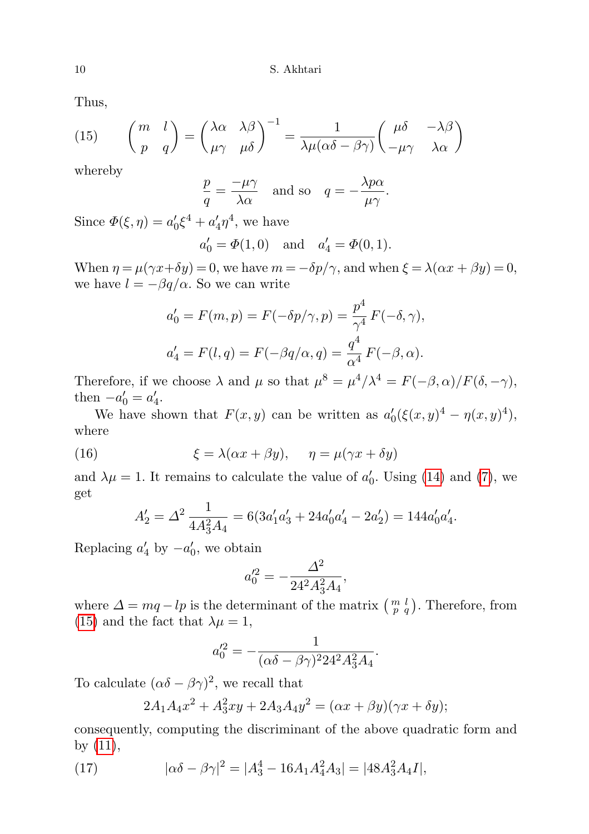Thus,

<span id="page-9-0"></span>(15) 
$$
\begin{pmatrix} m & l \\ p & q \end{pmatrix} = \begin{pmatrix} \lambda \alpha & \lambda \beta \\ \mu \gamma & \mu \delta \end{pmatrix}^{-1} = \frac{1}{\lambda \mu (\alpha \delta - \beta \gamma)} \begin{pmatrix} \mu \delta & -\lambda \beta \\ -\mu \gamma & \lambda \alpha \end{pmatrix}
$$

whereby

$$
\frac{p}{q} = \frac{-\mu\gamma}{\lambda\alpha} \quad \text{and so} \quad q = -\frac{\lambda p\alpha}{\mu\gamma}.
$$

Since  $\Phi(\xi, \eta) = a'_0 \xi^4 + a'_4 \eta^4$ , we have

$$
a'_0 = \Phi(1,0)
$$
 and  $a'_4 = \Phi(0,1)$ .

When  $\eta = \mu(\gamma x + \delta y) = 0$ , we have  $m = -\delta p/\gamma$ , and when  $\xi = \lambda(\alpha x + \beta y) = 0$ , we have  $l = -\beta q/\alpha$ . So we can write

$$
a'_0 = F(m, p) = F(-\delta p/\gamma, p) = \frac{p^4}{\gamma^4} F(-\delta, \gamma),
$$
  

$$
a'_4 = F(l, q) = F(-\beta q/\alpha, q) = \frac{q^4}{\alpha^4} F(-\beta, \alpha).
$$

Therefore, if we choose  $\lambda$  and  $\mu$  so that  $\mu^8 = \mu^4/\lambda^4 = F(-\beta,\alpha)/F(\delta,-\gamma)$ , then  $-a'_0 = a'_4$ .

We have shown that  $F(x, y)$  can be written as  $a'_0(\xi(x, y)^4 - \eta(x, y)^4)$ , where

(16) 
$$
\xi = \lambda(\alpha x + \beta y), \quad \eta = \mu(\gamma x + \delta y)
$$

and  $\lambda \mu = 1$ . It remains to calculate the value of  $a'_0$ . Using [\(14\)](#page-8-0) and [\(7\)](#page-3-0), we get

<span id="page-9-1"></span>
$$
A'_2 = \Delta^2 \frac{1}{4A_3^2 A_4} = 6(3a'_1 a'_3 + 24a'_0 a'_4 - 2a'_2) = 144a'_0 a'_4.
$$

Replacing  $a'_4$  by  $-a'_0$ , we obtain

$$
a_0'^2 = -\frac{\varDelta^2}{24^2 A_3^2 A_4},
$$

where  $\Delta = mq - lp$  is the determinant of the matrix  $\begin{pmatrix} m & l \\ p & q \end{pmatrix}$ . Therefore, from [\(15\)](#page-9-0) and the fact that  $\lambda \mu = 1$ ,

$$
a_0^{\prime 2} = -\frac{1}{(\alpha \delta - \beta \gamma)^2 24^2 A_3^2 A_4}.
$$

To calculate  $(\alpha \delta - \beta \gamma)^2$ , we recall that

<span id="page-9-2"></span>
$$
2A_1A_4x^2 + A_3^2xy + 2A_3A_4y^2 = (\alpha x + \beta y)(\gamma x + \delta y);
$$

consequently, computing the discriminant of the above quadratic form and by [\(11\)](#page-4-3),

(17) 
$$
|\alpha \delta - \beta \gamma|^2 = |A_3^4 - 16A_1A_4^2A_3| = |48A_3^2A_4I|,
$$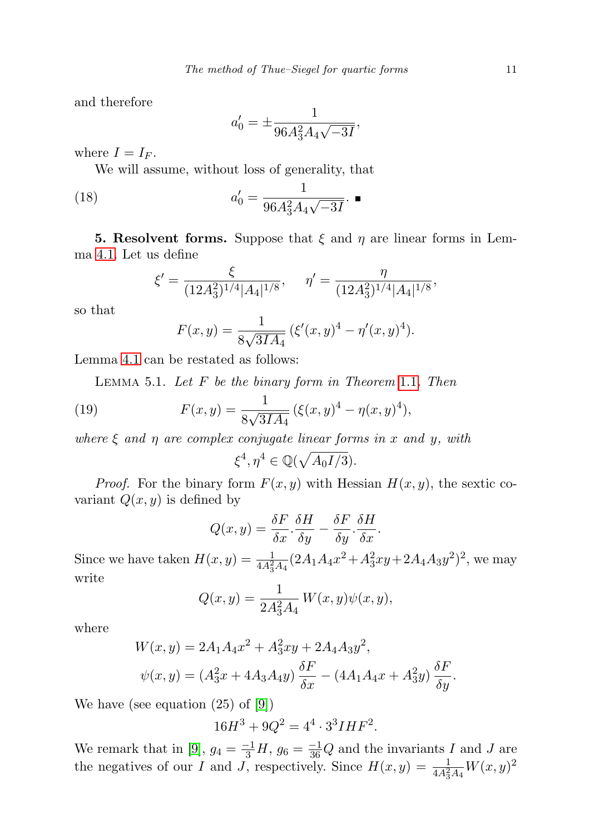and therefore

<span id="page-10-1"></span>
$$
a'_0 = \pm \frac{1}{96A_3^2A_4\sqrt{-3I}},
$$

where  $I = I_F$ .

We will assume, without loss of generality, that

(18) 
$$
a'_0 = \frac{1}{96A_3^2A_4\sqrt{-3I}}.\ \blacksquare
$$

<span id="page-10-0"></span>**5. Resolvent forms.** Suppose that  $\xi$  and  $\eta$  are linear forms in Lemma [4.1.](#page-7-0) Let us define

$$
\xi' = \frac{\xi}{(12A_3^2)^{1/4}|A_4|^{1/8}}, \quad \eta' = \frac{\eta}{(12A_3^2)^{1/4}|A_4|^{1/8}},
$$

so that

$$
F(x,y) = \frac{1}{8\sqrt{3IA_4}} \left( \xi'(x,y)^4 - \eta'(x,y)^4 \right).
$$

<span id="page-10-2"></span>Lemma [4.1](#page-7-0) can be restated as follows:

LEMMA 5.[1](#page-1-0). Let  $F$  be the binary form in Theorem 1.1. Then

(19) 
$$
F(x,y) = \frac{1}{8\sqrt{3IA_4}} \left( \xi(x,y)^4 - \eta(x,y)^4 \right),
$$

where  $\xi$  and  $\eta$  are complex conjugate linear forms in x and y, with

$$
\xi^4, \eta^4 \in \mathbb{Q}(\sqrt{A_0I/3}).
$$

*Proof.* For the binary form  $F(x, y)$  with Hessian  $H(x, y)$ , the sextic covariant  $Q(x, y)$  is defined by

$$
Q(x,y) = \frac{\delta F}{\delta x} \cdot \frac{\delta H}{\delta y} - \frac{\delta F}{\delta y} \cdot \frac{\delta H}{\delta x}.
$$

Since we have taken  $H(x, y) = \frac{1}{4A_3^2A_4}(2A_1A_4x^2 + A_3^2xy + 2A_4A_3y^2)^2$ , we may write

$$
Q(x, y) = \frac{1}{2A_3^2 A_4} W(x, y)\psi(x, y),
$$

where

$$
W(x, y) = 2A_1 A_4 x^2 + A_3^2 xy + 2A_4 A_3 y^2,
$$
  

$$
\psi(x, y) = (A_3^2 x + 4A_3 A_4 y) \frac{\delta F}{\delta x} - (4A_1 A_4 x + A_3^2 y) \frac{\delta F}{\delta y}.
$$

We have (see equation (25) of [\[9\]](#page-29-0))

$$
16H^3 + 9Q^2 = 4^4 \cdot 3^3 IHF^2.
$$

We remark that in [\[9\]](#page-29-0),  $g_4 = \frac{-1}{3}H$ ,  $g_6 = \frac{-1}{36}Q$  and the invariants I and J are the negatives of our I and J, respectively. Since  $H(x, y) = \frac{1}{4A_3^2A_4}W(x, y)^2$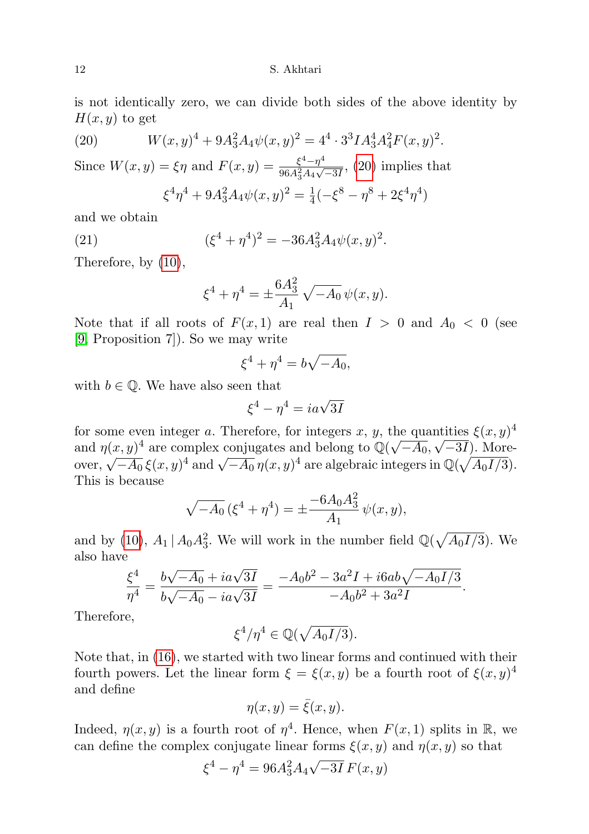12 S. Akhtari

is not identically zero, we can divide both sides of the above identity by  $H(x, y)$  to get

(20) 
$$
W(x,y)^{4} + 9A_{3}^{2}A_{4}\psi(x,y)^{2} = 4^{4} \cdot 3^{3}IA_{3}^{4}A_{4}^{2}F(x,y)^{2}.
$$

Since  $W(x, y) = \xi \eta$  and  $F(x, y) = \frac{\xi^4 - \eta^4}{96.4^2 A}$  $\frac{\xi^2 - \eta^2}{96A_3^2A_4\sqrt{-3I}}$ , [\(20\)](#page-11-0) implies that

<span id="page-11-0"></span>
$$
\xi^4 \eta^4 + 9A_3^2 A_4 \psi(x, y)^2 = \frac{1}{4}(-\xi^8 - \eta^8 + 2\xi^4 \eta^4)
$$

and we obtain

(21) 
$$
(\xi^4 + \eta^4)^2 = -36A_3^2 A_4 \psi(x, y)^2.
$$

Therefore, by [\(10\)](#page-4-1),

<span id="page-11-1"></span>
$$
\xi^4 + \eta^4 = \pm \frac{6A_3^2}{A_1} \sqrt{-A_0} \psi(x, y).
$$

Note that if all roots of  $F(x, 1)$  are real then  $I > 0$  and  $A_0 < 0$  (see [\[9,](#page-29-0) Proposition 7]). So we may write

$$
\xi^4 + \eta^4 = b\sqrt{-A_0},
$$

with  $b \in \mathbb{Q}$ . We have also seen that

$$
\xi^4 - \eta^4 = i a \sqrt{3} I
$$

for some even integer a. Therefore, for integers x, y, the quantities  $\xi(x, y)^4$ and  $\eta(x, y)^4$  are complex conjugates and belong to  $\mathbb{Q}(\sqrt{-A_0}, \sqrt{-3I})$ . Moreover,  $\sqrt{-A_0} \xi(x, y)^4$  and  $\sqrt{-A_0} \eta(x, y)^4$  are algebraic integers in  $\mathbb{Q}(\sqrt{A_0I/3})$ . This is because

$$
\sqrt{-A_0} \left( \xi^4 + \eta^4 \right) = \pm \frac{-6A_0 A_3^2}{A_1} \psi(x, y),
$$

and by [\(10\)](#page-4-1),  $A_1 | A_0 A_3^2$ . We will work in the number field  $\mathbb{Q}(\sqrt{A_0 I/3})$ . We also have

$$
\frac{\xi^4}{\eta^4} = \frac{b\sqrt{-A_0} + ia\sqrt{3I}}{b\sqrt{-A_0} - ia\sqrt{3I}} = \frac{-A_0b^2 - 3a^2I + i6ab\sqrt{-A_0I/3}}{-A_0b^2 + 3a^2I}.
$$

Therefore,

$$
\xi^4/\eta^4\in\mathbb{Q}(\sqrt{A_0I/3}).
$$

Note that, in [\(16\)](#page-9-1), we started with two linear forms and continued with their fourth powers. Let the linear form  $\xi = \xi(x, y)$  be a fourth root of  $\xi(x, y)^4$ and define

$$
\eta(x,y) = \bar{\xi}(x,y).
$$

Indeed,  $\eta(x, y)$  is a fourth root of  $\eta^4$ . Hence, when  $F(x, 1)$  splits in R, we can define the complex conjugate linear forms  $\xi(x, y)$  and  $\eta(x, y)$  so that

$$
\xi^4 - \eta^4 = 96A_3^2 A_4 \sqrt{-3I} F(x, y)
$$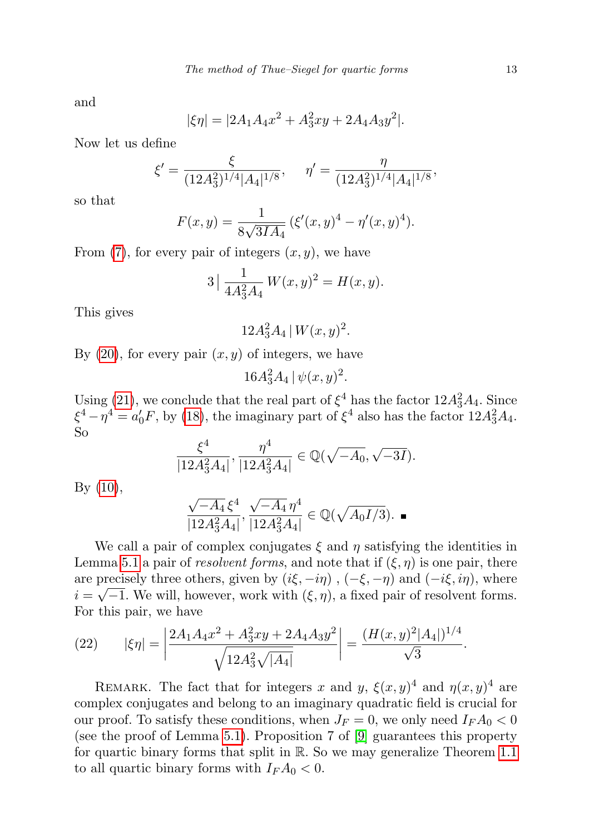and

$$
|\xi \eta| = |2A_1 A_4 x^2 + A_3^2 xy + 2A_4 A_3 y^2|.
$$

Now let us define

$$
\xi' = \frac{\xi}{(12A_3^2)^{1/4}|A_4|^{1/8}}, \quad \eta' = \frac{\eta}{(12A_3^2)^{1/4}|A_4|^{1/8}},
$$

so that

$$
F(x,y) = \frac{1}{8\sqrt{3IA_4}} \left( \xi'(x,y)^4 - \eta'(x,y)^4 \right).
$$

From  $(7)$ , for every pair of integers  $(x, y)$ , we have

$$
3\left|\frac{1}{4A_3^2A_4}W(x,y)^2 = H(x,y).
$$

This gives

$$
12A_3^2A_4\,|\,W(x,y)^2.
$$

By  $(20)$ , for every pair  $(x, y)$  of integers, we have

 $16A_3^2A_4 \, | \psi(x,y)^2.$ 

Using [\(21\)](#page-11-1), we conclude that the real part of  $\xi^4$  has the factor  $12A_3^2A_4$ . Since  $\xi^4 - \eta^4 = a'_0 F$ , by [\(18\)](#page-10-1), the imaginary part of  $\xi^4$  also has the factor  $12A_3^2A_4$ . So

$$
\frac{\xi^4}{|12A_3^2A_4|}, \frac{\eta^4}{|12A_3^2A_4|} \in \mathbb{Q}(\sqrt{-A_0}, \sqrt{-3I}).
$$

By [\(10\)](#page-4-1),

$$
\frac{\sqrt{-A_4} \,\xi^4}{|12A_3^2A_4|}, \frac{\sqrt{-A_4} \,\eta^4}{|12A_3^2A_4|} \in \mathbb{Q}(\sqrt{A_0I/3}).
$$

We call a pair of complex conjugates  $\xi$  and  $\eta$  satisfying the identities in Lemma [5.1](#page-10-2) a pair of resolvent forms, and note that if  $(\xi, \eta)$  is one pair, there are precisely three others, given by  $(i\xi, -i\eta)$ ,  $(-\xi, -\eta)$  and  $(-i\xi, i\eta)$ , where  $i = \sqrt{-1}$ . We will, however, work with  $(\xi, \eta)$ , a fixed pair of resolvent forms. For this pair, we have

<span id="page-12-0"></span>(22) 
$$
|\xi \eta| = \left| \frac{2A_1 A_4 x^2 + A_3^2 xy + 2A_4 A_3 y^2}{\sqrt{12A_3^2 \sqrt{|A_4|}}} \right| = \frac{(H(x, y)^2 |A_4|)^{1/4}}{\sqrt{3}}.
$$

REMARK. The fact that for integers x and y,  $\xi(x, y)^4$  and  $\eta(x, y)^4$  are complex conjugates and belong to an imaginary quadratic field is crucial for our proof. To satisfy these conditions, when  $J_F = 0$ , we only need  $I_F A_0 < 0$ (see the proof of Lemma [5.1\)](#page-10-2). Proposition 7 of  $[9]$  guarantees this property for quartic binary forms that split in R. So we may generalize Theorem [1.1](#page-1-0) to all quartic binary forms with  $I_F A_0 < 0$ .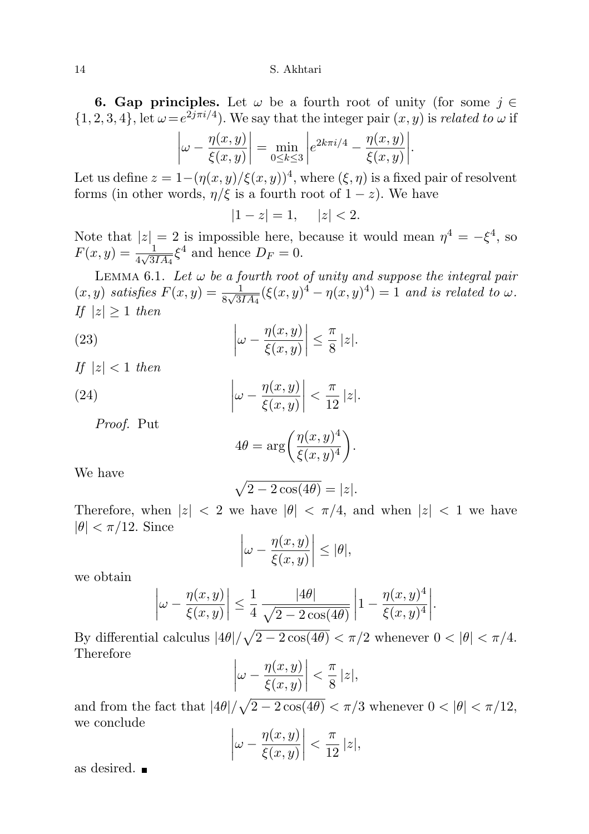**6. Gap principles.** Let  $\omega$  be a fourth root of unity (for some  $j \in \mathbb{R}$  $\{1, 2, 3, 4\}$ , let  $\omega = e^{2j\pi i/4}$ . We say that the integer pair  $(x, y)$  is related to  $\omega$  if

$$
\left|\omega - \frac{\eta(x, y)}{\xi(x, y)}\right| = \min_{0 \le k \le 3} \left|e^{2k\pi i/4} - \frac{\eta(x, y)}{\xi(x, y)}\right|.
$$

Let us define  $z = 1 - (\eta(x, y)/\xi(x, y))^4$ , where  $(\xi, \eta)$  is a fixed pair of resolvent forms (in other words,  $\eta/\xi$  is a fourth root of  $1-z$ ). We have

 $|1 - z| = 1, \quad |z| < 2.$ 

Note that  $|z|=2$  is impossible here, because it would mean  $\eta^4=-\xi^4$ , so  $F(x, y) = \frac{1}{4\sqrt{3IA_4}} \xi^4$  and hence  $D_F = 0$ .

<span id="page-13-2"></span>LEMMA 6.1. Let  $\omega$  be a fourth root of unity and suppose the integral pair  $(x, y)$  satisfies  $F(x, y) = \frac{1}{8\sqrt{3IA_4}} (\xi(x, y)^4 - \eta(x, y)^4) = 1$  and is related to  $\omega$ . If  $|z| \geq 1$  then

(23) 
$$
\left|\omega - \frac{\eta(x, y)}{\xi(x, y)}\right| \leq \frac{\pi}{8} |z|.
$$

If  $|z| < 1$  then

(24) 
$$
\left|\omega - \frac{\eta(x, y)}{\xi(x, y)}\right| < \frac{\pi}{12} |z|.
$$

Proof. Put

<span id="page-13-1"></span><span id="page-13-0"></span>
$$
4\theta = \arg\bigg(\frac{\eta(x,y)^4}{\xi(x,y)^4}\bigg).
$$

We have

$$
\sqrt{2-2\cos(4\theta)}=|z|.
$$

Therefore, when  $|z| < 2$  we have  $|\theta| < \pi/4$ , and when  $|z| < 1$  we have  $|\theta| < \pi/12$ . Since

$$
\left|\omega - \frac{\eta(x, y)}{\xi(x, y)}\right| \leq |\theta|,
$$

we obtain

$$
\left|\omega - \frac{\eta(x,y)}{\xi(x,y)}\right| \le \frac{1}{4} \frac{|4\theta|}{\sqrt{2 - 2\cos(4\theta)}} \left|1 - \frac{\eta(x,y)^4}{\xi(x,y)^4}\right|
$$

.

By differential calculus  $|4\theta|/\sqrt{2-2\cos(4\theta)} < \pi/2$  whenever  $0 < |\theta| < \pi/4$ . Therefore

$$
\left|\omega - \frac{\eta(x, y)}{\xi(x, y)}\right| < \frac{\pi}{8} \, |z|,
$$

and from the fact that  $|4\theta|/\sqrt{2-2\cos(4\theta)} < \pi/3$  whenever  $0 < |\theta| < \pi/12$ , we conclude

$$
\left|\omega - \frac{\eta(x, y)}{\xi(x, y)}\right| < \frac{\pi}{12} \, |z|,
$$

as desired.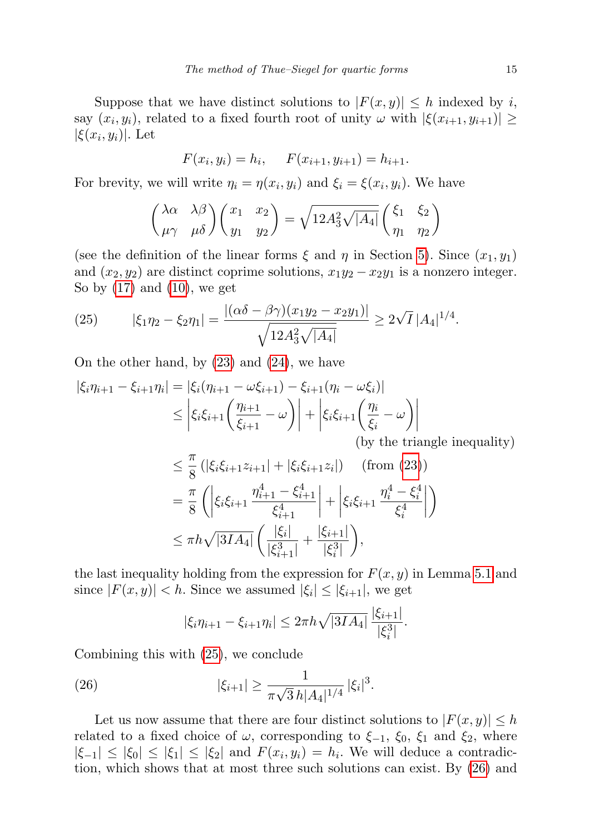Suppose that we have distinct solutions to  $|F(x, y)| \leq h$  indexed by i, say  $(x_i, y_i)$ , related to a fixed fourth root of unity  $\omega$  with  $|\xi(x_{i+1}, y_{i+1})| \geq$  $|\xi(x_i, y_i)|$ . Let

$$
F(x_i, y_i) = h_i, \quad F(x_{i+1}, y_{i+1}) = h_{i+1}.
$$

For brevity, we will write  $\eta_i = \eta(x_i, y_i)$  and  $\xi_i = \xi(x_i, y_i)$ . We have

$$
\begin{pmatrix} \lambda \alpha & \lambda \beta \\ \mu \gamma & \mu \delta \end{pmatrix} \begin{pmatrix} x_1 & x_2 \\ y_1 & y_2 \end{pmatrix} = \sqrt{12A_3^2 \sqrt{|A_4|}} \begin{pmatrix} \xi_1 & \xi_2 \\ \eta_1 & \eta_2 \end{pmatrix}
$$

(see the definition of the linear forms  $\xi$  and  $\eta$  in Section [5\)](#page-10-0). Since  $(x_1, y_1)$ and  $(x_2, y_2)$  are distinct coprime solutions,  $x_1y_2 - x_2y_1$  is a nonzero integer. So by  $(17)$  and  $(10)$ , we get

<span id="page-14-0"></span>(25) 
$$
|\xi_1 \eta_2 - \xi_2 \eta_1| = \frac{|(\alpha \delta - \beta \gamma)(x_1 y_2 - x_2 y_1)|}{\sqrt{12A_3^2 \sqrt{|A_4|}}} \ge 2\sqrt{I} |A_4|^{1/4}.
$$

On the other hand, by [\(23\)](#page-13-0) and [\(24\)](#page-13-1), we have

$$
\begin{aligned} |\xi_i \eta_{i+1} - \xi_{i+1} \eta_i| &= |\xi_i(\eta_{i+1} - \omega \xi_{i+1}) - \xi_{i+1}(\eta_i - \omega \xi_i)| \\ &\le \left| \xi_i \xi_{i+1} \left( \frac{\eta_{i+1}}{\xi_{i+1}} - \omega \right) \right| + \left| \xi_i \xi_{i+1} \left( \frac{\eta_i}{\xi_i} - \omega \right) \right| \\ &\text{(by the trial)} \end{aligned}
$$

$$
\quad\hbox{(by the triangle inequality)}\\
$$

.

$$
\leq \frac{\pi}{8} \left( |\xi_i \xi_{i+1} z_{i+1}| + |\xi_i \xi_{i+1} z_i| \right) \quad \text{(from (23))}
$$
\n
$$
= \frac{\pi}{8} \left( \left| \xi_i \xi_{i+1} \frac{\eta_{i+1}^4 - \xi_{i+1}^4}{\xi_{i+1}^4} \right| + \left| \xi_i \xi_{i+1} \frac{\eta_i^4 - \xi_i^4}{\xi_i^4} \right| \right)
$$
\n
$$
\leq \pi h \sqrt{|3IA_4|} \left( \frac{|\xi_i|}{|\xi_{i+1}^3|} + \frac{|\xi_{i+1}|}{|\xi_i^3|} \right),
$$

the last inequality holding from the expression for  $F(x, y)$  in Lemma [5.1](#page-10-2) and since  $|F(x, y)| < h$ . Since we assumed  $|\xi_i| \leq |\xi_{i+1}|$ , we get

<span id="page-14-1"></span>
$$
|\xi_i \eta_{i+1} - \xi_{i+1} \eta_i| \leq 2\pi h \sqrt{|3IA_4|} \frac{|\xi_{i+1}|}{|\xi_i^3|}
$$

Combining this with [\(25\)](#page-14-0), we conclude

(26) 
$$
|\xi_{i+1}| \geq \frac{1}{\pi\sqrt{3} h |A_4|^{1/4}} |\xi_i|^3.
$$

Let us now assume that there are four distinct solutions to  $|F(x, y)| \leq h$ related to a fixed choice of  $\omega$ , corresponding to  $\xi_{-1}$ ,  $\xi_0$ ,  $\xi_1$  and  $\xi_2$ , where  $|\xi_{-1}| \leq |\xi_0| \leq |\xi_1| \leq |\xi_2|$  and  $F(x_i, y_i) = h_i$ . We will deduce a contradiction, which shows that at most three such solutions can exist. By [\(26\)](#page-14-1) and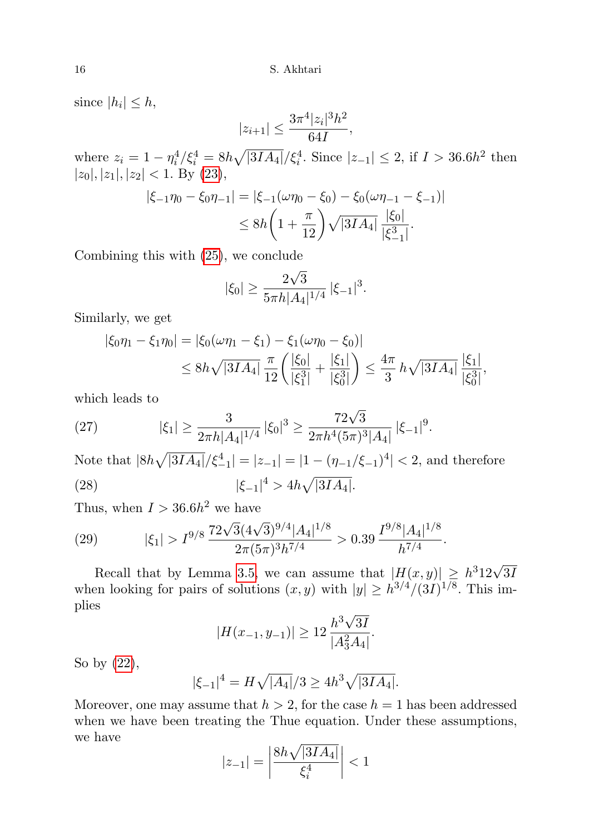since  $|h_i| \leq h$ ,

$$
|z_{i+1}| \le \frac{3\pi^4|z_i|^3h^2}{64I},
$$

where  $z_i = 1 - \eta_i^4 / \xi_i^4 = 8h \sqrt{|3IA_4|} / \xi_i^4$ . Since  $|z_{-1}| \leq 2$ , if  $I > 36.6h^2$  then  $|z_0|, |z_1|, |z_2| < 1$ . By [\(23\)](#page-13-0),

$$
|\xi_{-1}\eta_0 - \xi_0\eta_{-1}| = |\xi_{-1}(\omega\eta_0 - \xi_0) - \xi_0(\omega\eta_{-1} - \xi_{-1})|
$$
  

$$
\leq 8h\left(1 + \frac{\pi}{12}\right)\sqrt{|3IA_4|}\frac{|\xi_0|}{|\xi_{-1}^3|}.
$$

Combining this with [\(25\)](#page-14-0), we conclude

$$
|\xi_0| \ge \frac{2\sqrt{3}}{5\pi h |A_4|^{1/4}} |\xi_{-1}|^3.
$$

Similarly, we get

$$
|\xi_0 \eta_1 - \xi_1 \eta_0| = |\xi_0(\omega \eta_1 - \xi_1) - \xi_1(\omega \eta_0 - \xi_0)|
$$
  
\n
$$
\leq 8h\sqrt{|3IA_4|} \frac{\pi}{12} \left( \frac{|\xi_0|}{|\xi_1^3|} + \frac{|\xi_1|}{|\xi_0^3|} \right) \leq \frac{4\pi}{3} h\sqrt{|3IA_4|} \frac{|\xi_1|}{|\xi_0^3|},
$$

which leads to

<span id="page-15-0"></span>(27) 
$$
|\xi_1| \ge \frac{3}{2\pi h |A_4|^{1/4}} |\xi_0|^3 \ge \frac{72\sqrt{3}}{2\pi h^4 (5\pi)^3 |A_4|} |\xi_{-1}|^9.
$$

Note that  $|8h\sqrt{|3IA_4|}/\xi_{-1}^4| = |z_{-1}| = |1 - (\eta_{-1}/\xi_{-1})^4| < 2$ , and therefore (28)  $|\xi_{-1}|^4 > 4h\sqrt{|3IA_4|}.$ 

Thus, when  $I > 36.6h^2$  we have

<span id="page-15-1"></span>(29) 
$$
|\xi_1| > I^{9/8} \frac{72\sqrt{3}(4\sqrt{3})^{9/4} |A_4|^{1/8}}{2\pi (5\pi)^3 h^{7/4}} > 0.39 \frac{I^{9/8} |A_4|^{1/8}}{h^{7/4}}.
$$

Recall that by Lemma [3.5,](#page-7-1) we can assume that  $|H(x,y)| \geq h^3 12\sqrt{3l}$ when looking for pairs of solutions  $(x, y)$  with  $|y| \geq h^{3/4}/(3I)^{1/8}$ . This implies √

$$
|H(x_{-1}, y_{-1})| \ge 12 \frac{h^3 \sqrt{3I}}{|A_3^2 A_4|}.
$$

So by [\(22\)](#page-12-0),

$$
|\xi_{-1}|^4 = H\sqrt{|A_4|}/3 \ge 4h^3\sqrt{|3IA_4|}.
$$

Moreover, one may assume that  $h > 2$ , for the case  $h = 1$  has been addressed when we have been treating the Thue equation. Under these assumptions, we have

$$
|z_{-1}| = \left| \frac{8h\sqrt{|3IA_4|}}{\xi_i^4} \right| < 1
$$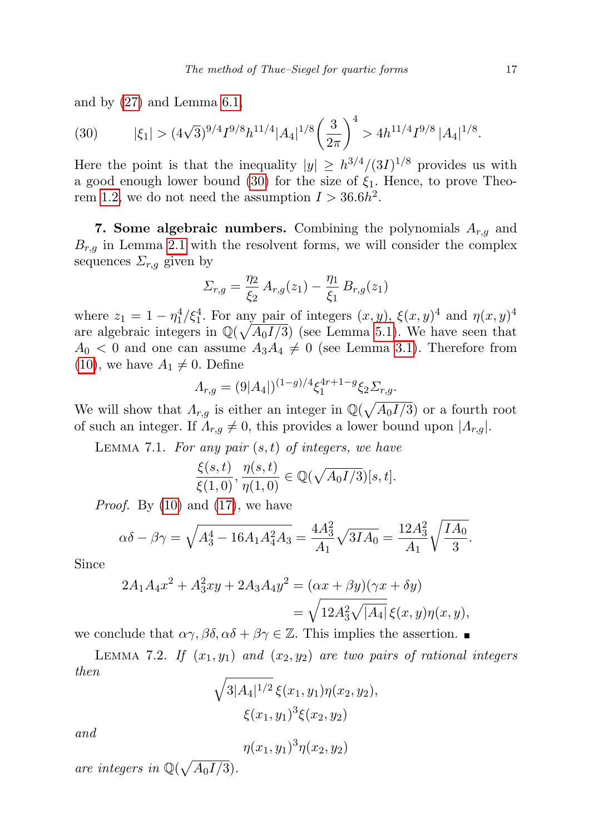and by [\(27\)](#page-15-0) and Lemma [6.1,](#page-13-2)

<span id="page-16-0"></span>(30) 
$$
|\xi_1| > (4\sqrt{3})^{9/4} I^{9/8} h^{11/4} |A_4|^{1/8} \left(\frac{3}{2\pi}\right)^4 > 4h^{11/4} I^{9/8} |A_4|^{1/8}.
$$

Here the point is that the inequality  $|y| \geq h^{3/4}/(3I)^{1/8}$  provides us with a good enough lower bound [\(30\)](#page-16-0) for the size of  $\xi_1$ . Hence, to prove Theo-rem [1.2,](#page-1-2) we do not need the assumption  $I > 36.6h^2$ .

7. Some algebraic numbers. Combining the polynomials  $A_{r,q}$  and  $B_{r,g}$  in Lemma [2.1](#page-2-0) with the resolvent forms, we will consider the complex sequences  $\Sigma_{r,q}$  given by

$$
\Sigma_{r,g} = \frac{\eta_2}{\xi_2} A_{r,g}(z_1) - \frac{\eta_1}{\xi_1} B_{r,g}(z_1)
$$

where  $z_1 = 1 - \eta_1^4/\xi_1^4$ . For any pair of integers  $(x, y)$ ,  $\xi(x, y)^4$  and  $\eta(x, y)^4$ are algebraic integers in  $\mathbb{Q}(\sqrt{A_0I/3})$  (see Lemma [5.1\)](#page-10-2). We have seen that  $A_0 < 0$  and one can assume  $A_3A_4 \neq 0$  (see Lemma [3.1\)](#page-4-4). Therefore from  $(10)$ , we have  $A_1 \neq 0$ . Define

$$
\Lambda_{r,g} = (9|A_4|)^{(1-g)/4} \xi_1^{4r+1-g} \xi_2 \Sigma_{r,g}.
$$

We will show that  $\Lambda_{r,g}$  is either an integer in  $\mathbb{Q}(\sqrt{A_0I/3})$  or a fourth root of such an integer. If  $\Lambda_{r,g} \neq 0$ , this provides a lower bound upon  $|\Lambda_{r,g}|$ .

<span id="page-16-1"></span>LEMMA 7.1. For any pair  $(s, t)$  of integers, we have

$$
\frac{\xi(s,t)}{\xi(1,0)}, \frac{\eta(s,t)}{\eta(1,0)} \in \mathbb{Q}(\sqrt{A_0I/3})[s,t].
$$

*Proof.* By  $(10)$  and  $(17)$ , we have

$$
\alpha \delta - \beta \gamma = \sqrt{A_3^4 - 16A_1A_4^2A_3} = \frac{4A_3^2}{A_1} \sqrt{3IA_0} = \frac{12A_3^2}{A_1} \sqrt{\frac{IA_0}{3}}.
$$

Since

$$
2A_1 A_4 x^2 + A_3^2 xy + 2A_3 A_4 y^2 = (\alpha x + \beta y)(\gamma x + \delta y)
$$
  
=  $\sqrt{12A_3^2 \sqrt{|A_4|}} \xi(x, y) \eta(x, y),$ 

we conclude that  $\alpha\gamma$ ,  $\beta\delta$ ,  $\alpha\delta + \beta\gamma \in \mathbb{Z}$ . This implies the assertion.

<span id="page-16-2"></span>LEMMA 7.2. If  $(x_1, y_1)$  and  $(x_2, y_2)$  are two pairs of rational integers then

$$
\sqrt{3|A_4|^{1/2}}\,\xi(x_1,y_1)\eta(x_2,y_2),
$$
  
 
$$
\xi(x_1,y_1)^3\xi(x_2,y_2)
$$

and

 $\eta(x_1, y_1)^3 \eta(x_2, y_2)$ 

are integers in  $\mathbb{Q}(\sqrt{A_0I/3})$ .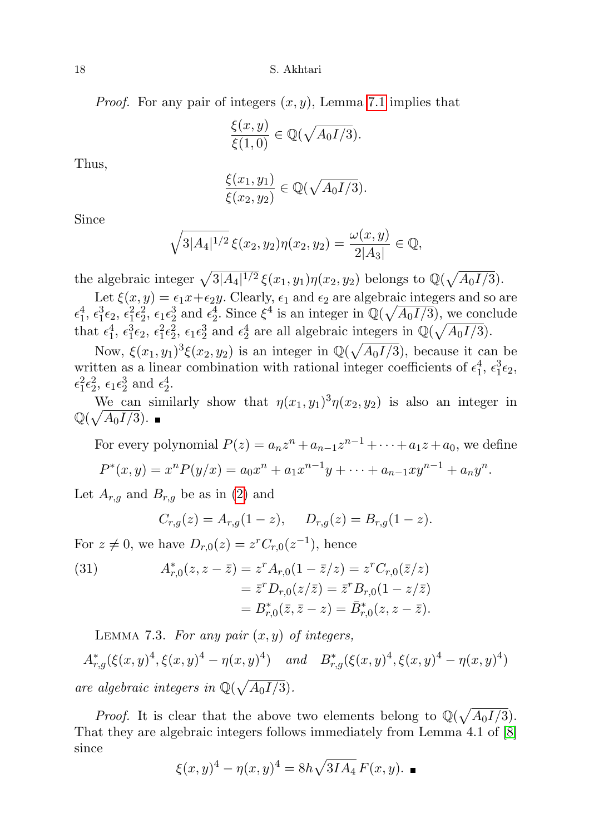18 S. Akhtari

*Proof.* For any pair of integers  $(x, y)$ , Lemma [7.1](#page-16-1) implies that

$$
\frac{\xi(x,y)}{\xi(1,0)} \in \mathbb{Q}(\sqrt{A_0 I/3}).
$$

Thus,

$$
\frac{\xi(x_1,y_1)}{\xi(x_2,y_2)} \in \mathbb{Q}(\sqrt{A_0I/3}).
$$

Since

$$
\sqrt{3|A_4|^{1/2}}\,\xi(x_2,y_2)\eta(x_2,y_2)=\frac{\omega(x,y)}{2|A_3|}\in\mathbb{Q},
$$

the algebraic integer  $\sqrt{3|A_4|^{1/2}} \xi(x_1, y_1)\eta(x_2, y_2)$  belongs to  $\mathbb{Q}(\sqrt{A_0I/3})$ .

Let  $\xi(x, y) = \epsilon_1 x + \epsilon_2 y$ . Clearly,  $\epsilon_1$  and  $\epsilon_2$  are algebraic integers and so are  $\epsilon_1^4$ ,  $\epsilon_1^3 \epsilon_2$ ,  $\epsilon_1^2 \epsilon_2^2$ ,  $\epsilon_1 \epsilon_2^3$  and  $\epsilon_2^4$ . Since  $\xi^4$  is an integer in  $\mathbb{Q}(\sqrt{A_0I/3})$ , we conclude that  $\epsilon_1^4$ ,  $\epsilon_1^3 \epsilon_2$ ,  $\epsilon_1^2 \epsilon_2^2$ ,  $\epsilon_1 \epsilon_2^3$  and  $\epsilon_2^4$  are all algebraic integers in  $\mathbb{Q}(\sqrt{A_0I/3})$ .

Now,  $\xi(x_1, y_1)^3 \xi(x_2, y_2)$  is an integer in  $\mathbb{Q}(\sqrt{A_0I/3})$ , because it can be written as a linear combination with rational integer coefficients of  $\epsilon_1^4$ ,  $\epsilon_1^3 \epsilon_2$ ,  $\epsilon_1^2 \epsilon_2^2$ ,  $\epsilon_1 \epsilon_2^3$  and  $\epsilon_2^4$ .

We can similarly show that  $\eta(x_1, y_1)^3 \eta(x_2, y_2)$  is also an integer in  $\mathbb{Q}(\sqrt{A_0I/3})$ .

For every polynomial  $P(z) = a_n z^n + a_{n-1} z^{n-1} + \cdots + a_1 z + a_0$ , we define  $P^*(x, y) = x^n P(y/x) = a_0 x^n + a_1 x^{n-1} y + \dots + a_{n-1} x y^{n-1} + a_n y^n.$ 

Let  $A_{r,q}$  and  $B_{r,q}$  be as in [\(2\)](#page-2-1) and

$$
C_{r,g}(z) = A_{r,g}(1-z), \quad D_{r,g}(z) = B_{r,g}(1-z).
$$

For  $z \neq 0$ , we have  $D_{r,0}(z) = z^r C_{r,0}(z^{-1})$ , hence

(31) 
$$
A_{r,0}^*(z, z - \bar{z}) = z^r A_{r,0} (1 - \bar{z}/z) = z^r C_{r,0} (\bar{z}/z)
$$

$$
= \bar{z}^r D_{r,0} (z/\bar{z}) = \bar{z}^r B_{r,0} (1 - z/\bar{z})
$$

$$
= B_{r,0}^*(\bar{z}, \bar{z} - z) = \bar{B}_{r,0}^*(z, z - \bar{z}).
$$

<span id="page-17-0"></span>LEMMA 7.3. For any pair  $(x, y)$  of integers,

 $A_{r,g}^*(\xi(x,y)^4, \xi(x,y)^4 - \eta(x,y)^4)$  and  $B_{r,g}^*(\xi(x,y)^4, \xi(x,y)^4 - \eta(x,y)^4)$ are algebraic integers in  $\mathbb{Q}(\sqrt{A_0I/3})$ .

*Proof.* It is clear that the above two elements belong to  $\mathbb{Q}(\sqrt{A_0I/3})$ . That they are algebraic integers follows immediately from Lemma 4.1 of [\[8\]](#page-29-11) since

$$
\xi(x, y)^4 - \eta(x, y)^4 = 8h\sqrt{3IA_4} F(x, y).
$$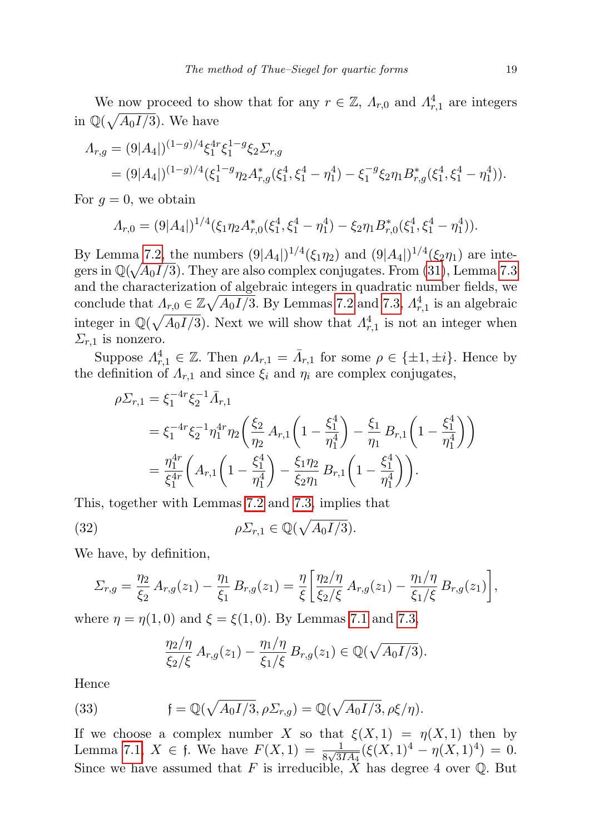We now proceed to show that for any  $r \in \mathbb{Z}$ ,  $\Lambda_{r,0}$  and  $\Lambda_{r,1}^4$  are integers in  $\mathbb{Q}(\sqrt{A_0I/3})$ . We have

$$
A_{r,g} = (9|A_4|)^{(1-g)/4} \xi_1^{4r} \xi_1^{1-g} \xi_2 \Sigma_{r,g}
$$
  
= 
$$
(9|A_4|)^{(1-g)/4} (\xi_1^{1-g} \eta_2 A_{r,g}^* (\xi_1^4, \xi_1^4 - \eta_1^4) - \xi_1^{-g} \xi_2 \eta_1 B_{r,g}^* (\xi_1^4, \xi_1^4 - \eta_1^4)).
$$

For  $g = 0$ , we obtain

$$
\Lambda_{r,0} = (9|A_4|)^{1/4} (\xi_1 \eta_2 A_{r,0}^* (\xi_1^4, \xi_1^4 - \eta_1^4) - \xi_2 \eta_1 B_{r,0}^* (\xi_1^4, \xi_1^4 - \eta_1^4)).
$$

By Lemma [7.2,](#page-16-2) the numbers  $(9|A_4|)^{1/4}(\xi_1\eta_2)$  and  $(9|A_4|)^{1/4}(\xi_2\eta_1)$  are integers in  $\mathbb{Q}(\sqrt{A_0I/3})$ . They are also complex conjugates. From [\(31\)](#page-16-2), Lemma [7.3](#page-17-0) and the characterization of algebraic integers in quadratic number fields, we conclude that  $\Lambda_{r,0} \in \mathbb{Z}\sqrt{A_0I/3}$ . By Lemmas [7.2](#page-16-2) and [7.3,](#page-17-0)  $\Lambda_{r,1}^4$  is an algebraic integer in  $\mathbb{Q}(\sqrt{A_0I/3})$ . Next we will show that  $A_{r,1}^4$  is not an integer when  $\Sigma_{r,1}$  is nonzero.

Suppose  $\Lambda_{r,1}^4 \in \mathbb{Z}$ . Then  $\rho \Lambda_{r,1} = \bar{\Lambda}_{r,1}$  for some  $\rho \in \{\pm 1, \pm i\}$ . Hence by the definition of  $\Lambda_{r,1}$  and since  $\xi_i$  and  $\eta_i$  are complex conjugates,

$$
\rho \Sigma_{r,1} = \xi_1^{-4r} \xi_2^{-1} \bar{A}_{r,1}
$$
  
=  $\xi_1^{-4r} \xi_2^{-1} \eta_1^{4r} \eta_2 \left( \frac{\xi_2}{\eta_2} A_{r,1} \left( 1 - \frac{\xi_1^4}{\eta_1^4} \right) - \frac{\xi_1}{\eta_1} B_{r,1} \left( 1 - \frac{\xi_1^4}{\eta_1^4} \right) \right)$   
=  $\frac{\eta_1^{4r}}{\xi_1^{4r}} \left( A_{r,1} \left( 1 - \frac{\xi_1^4}{\eta_1^4} \right) - \frac{\xi_1 \eta_2}{\xi_2 \eta_1} B_{r,1} \left( 1 - \frac{\xi_1^4}{\eta_1^4} \right) \right).$ 

This, together with Lemmas [7.2](#page-16-2) and [7.3,](#page-17-0) implies that

(32) 
$$
\rho \Sigma_{r,1} \in \mathbb{Q}(\sqrt{A_0 I/3}).
$$

We have, by definition,

$$
\Sigma_{r,g} = \frac{\eta_2}{\xi_2} A_{r,g}(z_1) - \frac{\eta_1}{\xi_1} B_{r,g}(z_1) = \frac{\eta}{\xi} \left[ \frac{\eta_2/\eta}{\xi_2/\xi} A_{r,g}(z_1) - \frac{\eta_1/\eta}{\xi_1/\xi} B_{r,g}(z_1) \right],
$$

where  $\eta = \eta(1, 0)$  and  $\xi = \xi(1, 0)$ . By Lemmas [7.1](#page-16-1) and [7.3,](#page-17-0)

<span id="page-18-1"></span><span id="page-18-0"></span>
$$
\frac{\eta_2/\eta}{\xi_2/\xi} A_{r,g}(z_1) - \frac{\eta_1/\eta}{\xi_1/\xi} B_{r,g}(z_1) \in \mathbb{Q}(\sqrt{A_0I/3}).
$$

Hence

(33) 
$$
\mathfrak{f} = \mathbb{Q}(\sqrt{A_0I/3}, \rho \Sigma_{r,g}) = \mathbb{Q}(\sqrt{A_0I/3}, \rho \xi/\eta).
$$

If we choose a complex number X so that  $\xi(X,1) = \eta(X,1)$  then by Lemma [7.1,](#page-16-1)  $X \in \mathfrak{f}$ . We have  $F(X,1) = \frac{1}{8\sqrt{3IA_4}}(\xi(X,1)^4 - \eta(X,1)^4) = 0$ . Since we have assumed that F is irreducible, X has degree 4 over  $\mathbb Q$ . But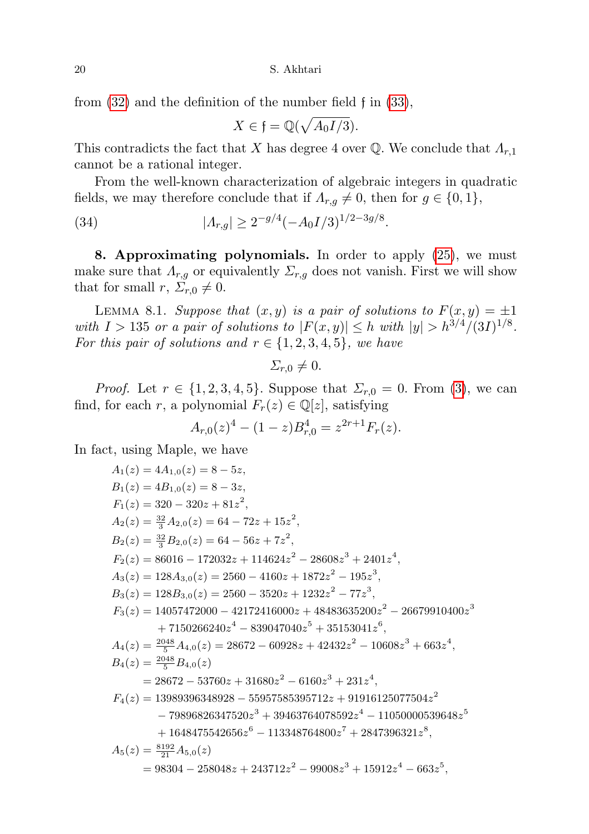from [\(32\)](#page-18-0) and the definition of the number field f in [\(33\)](#page-18-1),

<span id="page-19-0"></span>
$$
X \in \mathfrak{f} = \mathbb{Q}(\sqrt{A_0 I/3}).
$$

This contradicts the fact that X has degree 4 over  $\mathbb Q$ . We conclude that  $\Lambda_{r,1}$ cannot be a rational integer.

From the well-known characterization of algebraic integers in quadratic fields, we may therefore conclude that if  $\Lambda_{r,g} \neq 0$ , then for  $g \in \{0,1\}$ ,

(34)  $|A_{r,g}| \geq 2^{-g/4} (-A_0 I/3)^{1/2-3g/8}.$ 

8. Approximating polynomials. In order to apply [\(25\)](#page-14-0), we must make sure that  $\Lambda_{r,g}$  or equivalently  $\Sigma_{r,g}$  does not vanish. First we will show that for small  $r, \Sigma_{r,0} \neq 0$ .

<span id="page-19-1"></span>LEMMA 8.1. Suppose that  $(x, y)$  is a pair of solutions to  $F(x, y) = \pm 1$ with  $I > 135$  or a pair of solutions to  $|F(x, y)| \leq h$  with  $|y| > h^{3/4}/(3I)^{1/8}$ . For this pair of solutions and  $r \in \{1, 2, 3, 4, 5\}$ , we have

$$
\Sigma_{r,0}\neq 0.
$$

*Proof.* Let  $r \in \{1, 2, 3, 4, 5\}$ . Suppose that  $\Sigma_{r,0} = 0$ . From [\(3\)](#page-3-1), we can find, for each r, a polynomial  $F_r(z) \in \mathbb{Q}[z]$ , satisfying

$$
A_{r,0}(z)^4 - (1-z)B_{r,0}^4 = z^{2r+1}F_r(z).
$$

In fact, using Maple, we have

$$
A_1(z) = 4A_{1,0}(z) = 8 - 5z,
$$
  
\n
$$
B_1(z) = 4B_{1,0}(z) = 8 - 3z,
$$
  
\n
$$
F_1(z) = 320 - 320z + 81z^2,
$$
  
\n
$$
A_2(z) = \frac{32}{3}A_{2,0}(z) = 64 - 72z + 15z^2,
$$
  
\n
$$
B_2(z) = \frac{32}{3}B_{2,0}(z) = 64 - 56z + 7z^2,
$$
  
\n
$$
F_2(z) = 86016 - 172032z + 114624z^2 - 28608z^3 + 2401z^4,
$$
  
\n
$$
A_3(z) = 128A_{3,0}(z) = 2560 - 4160z + 1872z^2 - 195z^3,
$$
  
\n
$$
B_3(z) = 128B_{3,0}(z) = 2560 - 3520z + 1232z^2 - 77z^3,
$$
  
\n
$$
F_3(z) = 14057472000 - 42172416000z + 48483635200z^2 - 26679910400z^3 + 7150266240z^4 - 839047040z^5 + 35153041z^6,
$$
  
\n
$$
A_4(z) = \frac{2048}{5}A_{4,0}(z) = 28672 - 60928z + 42432z^2 - 10608z^3 + 663z^4,
$$
  
\n
$$
B_4(z) = \frac{2048}{5}B_{4,0}(z)
$$
  
\n
$$
= 28672 - 53760z + 31680z^2 - 6160z^3 + 231z^4,
$$
  
\n
$$
F_4(z) = 13989396348928 - 55957585395712z + 91916125077504z^2 - 79896826347520z^3 + 394637640
$$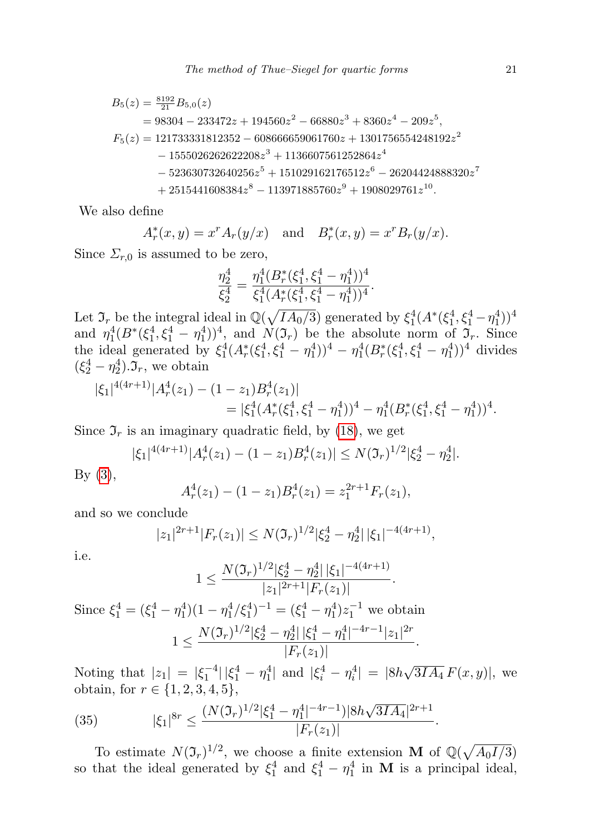$$
B_5(z) = \frac{8192}{21} B_{5,0}(z)
$$
  
= 98304 - 233472z + 194560z<sup>2</sup> - 66880z<sup>3</sup> + 8360z<sup>4</sup> - 209z<sup>5</sup>,  

$$
F_5(z) = 121733331812352 - 608666659061760z + 1301756554248192z2
$$
  
- 1555026262622208z<sup>3</sup> + 1136607561252864z<sup>4</sup>  
- 523630732640256z<sup>5</sup> + 151029162176512z<sup>6</sup> - 26204424888320z<sup>7</sup>  
+ 2515441608384z<sup>8</sup> - 113971885760z<sup>9</sup> + 1908029761z<sup>10</sup>.

We also define

$$
A_r^*(x, y) = x^r A_r(y/x)
$$
 and  $B_r^*(x, y) = x^r B_r(y/x)$ .

Since  $\Sigma_{r,0}$  is assumed to be zero,

$$
\frac{\eta_2^4}{\xi_2^4} = \frac{\eta_1^4 (B_r^*(\xi_1^4, \xi_1^4 - \eta_1^4))^4}{\xi_1^4 (A_r^*(\xi_1^4, \xi_1^4 - \eta_1^4))^4}.
$$

Let  $\mathfrak{I}_r$  be the integral ideal in  $\mathbb{Q}(\sqrt{IA_0/3})$  generated by  $\xi_1^4(A^*(\xi_1^4, \xi_1^4 - \eta_1^4))^4$ and  $\eta_1^4(B^*(\xi_1^4, \xi_1^4 - \eta_1^4))^4$ , and  $N(\mathfrak{I}_r)$  be the absolute norm of  $\mathfrak{I}_r$ . Since the ideal generated by  $\xi_1^4(A_r^*(\xi_1^4, \xi_1^4 - \eta_1^4))^4 - \eta_1^4(B_r^*(\xi_1^4, \xi_1^4 - \eta_1^4))^4$  divides  $(\xi_2^4 - \eta_2^4) \cdot \mathfrak{I}_r$ , we obtain

$$
|\xi_1|^{4(4r+1)}|A_r^4(z_1) - (1-z_1)B_r^4(z_1)|
$$
  
=  $|\xi_1^4(A_r^*(\xi_1^4, \xi_1^4 - \eta_1^4))^4 - \eta_1^4(B_r^*(\xi_1^4, \xi_1^4 - \eta_1^4))^4.$ 

Since  $\mathfrak{I}_r$  is an imaginary quadratic field, by [\(18\)](#page-10-1), we get

$$
|\xi_1|^{4(4r+1)}|A_r^4(z_1)-(1-z_1)B_r^4(z_1)| \le N(\mathfrak{I}_r)^{1/2}|\xi_2^4-\eta_2^4|.
$$

 $By (3),$  $By (3),$  $By (3),$ 

$$
A_r^4(z_1) - (1 - z_1)B_r^4(z_1) = z_1^{2r+1}F_r(z_1),
$$

and so we conclude

$$
|z_1|^{2r+1}|F_r(z_1)| \le N(\mathfrak{I}_r)^{1/2} |\xi_2^4 - \eta_2^4| \, |\xi_1|^{-4(4r+1)},
$$

i.e.

$$
1 \le \frac{N(\mathfrak{I}_r)^{1/2} |\xi_2^4 - \eta_2^4| \, |\xi_1|^{-4(4r+1)}}{|z_1|^{2r+1}|F_r(z_1)|}.
$$

Since  $\xi_1^4 = (\xi_1^4 - \eta_1^4)(1 - \eta_1^4/\xi_1^4)^{-1} = (\xi_1^4 - \eta_1^4)z_1^{-1}$  we obtain  $1 \leq \frac{N(\mathfrak{I}_r)^{1/2}|\xi_2^4 - \eta_2^4| \, |\xi_1^4 - \eta_1^4|^{-4r-1}|z_1|^{2r}}{\sum_{i=1}^r |\xi_i^4 - \eta_1^4|^{-4r}}$  $\frac{|\eta_2||S_1 - \eta_1|}{|F_r(z_1)|}.$ √

Noting that  $|z_1| = |\xi_1^{-4}| |\xi_1^4 - \eta_1^4|$  and  $|\xi_i^4 - \eta_i^4| = |8h$  $3I\overline{A_4} F(x,y)$ , we obtain, for  $r \in \{1, 2, 3, 4, 5\}$ ,

<span id="page-20-0"></span>(35) 
$$
|\xi_1|^{8r} \leq \frac{(N(\mathfrak{I}_r)^{1/2}|\xi_1^4 - \eta_1^4|^{-4r-1})|8h\sqrt{3IA_4}|^{2r+1}}{|F_r(z_1)|}.
$$

To estimate  $N(\mathfrak{I}_r)^{1/2}$ , we choose a finite extension M of  $\mathbb{Q}(\sqrt{A_0I/3})$ so that the ideal generated by  $\xi_1^4$  and  $\xi_1^4 - \eta_1^4$  in **M** is a principal ideal,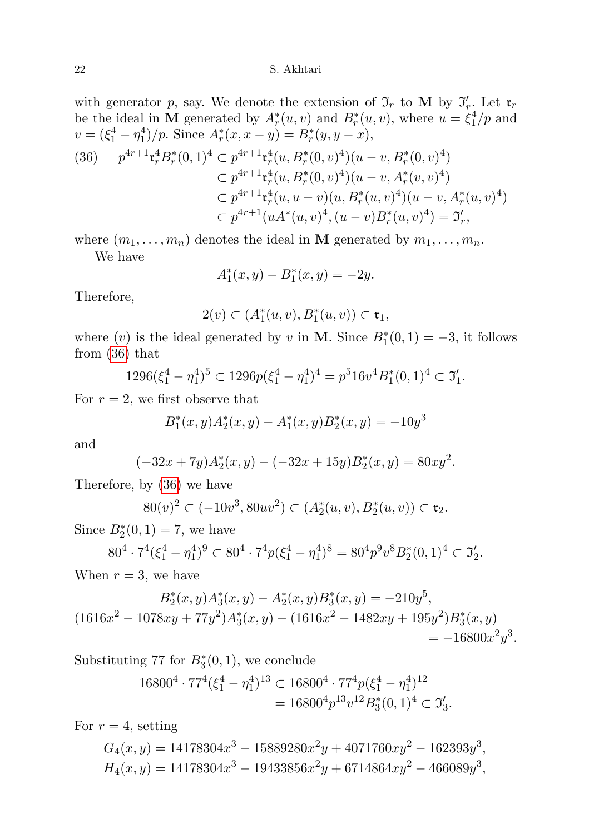## 22 S. Akhtari

with generator p, say. We denote the extension of  $\mathfrak{I}_r$  to M by  $\mathfrak{I}'_r$ . Let  $\mathfrak{r}_r$ be the ideal in M generated by  $A_r^*(u, v)$  and  $B_r^*(u, v)$ , where  $u = \xi_1^4/p$  and  $v = (\xi_1^4 - \eta_1^4)/p$ . Since  $A_r^*(x, x - y) = B_r^*(y, y - x)$ ,

$$
(36) \quad p^{4r+1} \mathbf{t}_r^4 B_r^*(0,1)^4 \subset p^{4r+1} \mathbf{t}_r^4 (u, B_r^*(0, v)^4)(u-v, B_r^*(0, v)^4)
$$
  
\n
$$
\subset p^{4r+1} \mathbf{t}_r^4 (u, B_r^*(0, v)^4)(u-v, A_r^*(v, v)^4)
$$
  
\n
$$
\subset p^{4r+1} \mathbf{t}_r^4 (u, u-v)(u, B_r^*(u, v)^4)(u-v, A_r^*(u, v)^4)
$$
  
\n
$$
\subset p^{4r+1} (uA^*(u, v)^4, (u-v)B_r^*(u, v)^4) = \mathfrak{I}_r',
$$

where  $(m_1, \ldots, m_n)$  denotes the ideal in **M** generated by  $m_1, \ldots, m_n$ .

We have

$$
A_1^*(x, y) - B_1^*(x, y) = -2y.
$$

Therefore,

$$
2(v) \subset (A_1^*(u,v), B_1^*(u,v)) \subset \mathfrak{r}_1,
$$

where  $(v)$  is the ideal generated by v in **M**. Since  $B_1^*(0,1) = -3$ , it follows from [\(36\)](#page-20-0) that

$$
1296(\xi_1^4 - \eta_1^4)^5 \subset 1296p(\xi_1^4 - \eta_1^4)^4 = p^5 16v^4 B_1^*(0, 1)^4 \subset \mathfrak{I}_1'.
$$

For  $r = 2$ , we first observe that

$$
B_1^*(x, y)A_2^*(x, y) - A_1^*(x, y)B_2^*(x, y) = -10y^3
$$

and

$$
(-32x + 7y)A_2^*(x, y) - (-32x + 15y)B_2^*(x, y) = 80xy^2.
$$

Therefore, by [\(36\)](#page-20-0) we have

$$
80(v)^{2} \subset (-10v^{3}, 80uv^{2}) \subset (A_{2}^{*}(u, v), B_{2}^{*}(u, v)) \subset \mathfrak{r}_{2}.
$$

Since  $B_2^*(0,1) = 7$ , we have

$$
80^4 \cdot 7^4(\xi_1^4 - \eta_1^4)^9 \subset 80^4 \cdot 7^4 p(\xi_1^4 - \eta_1^4)^8 = 80^4 p^9 v^8 B_2^*(0, 1)^4 \subset \mathfrak{I}_2'.
$$

When  $r = 3$ , we have

$$
B_2^*(x, y)A_3^*(x, y) - A_2^*(x, y)B_3^*(x, y) = -210y^5,
$$
  
\n
$$
(1616x^2 - 1078xy + 77y^2)A_3^*(x, y) - (1616x^2 - 1482xy + 195y^2)B_3^*(x, y) = -16800x^2y^3.
$$

Substituting 77 for  $B_3^*(0,1)$ , we conclude

$$
16800^4 \cdot 77^4 \left(\xi_1^4 - \eta_1^4\right)^{13} \subset 16800^4 \cdot 77^4 p \left(\xi_1^4 - \eta_1^4\right)^{12}
$$
  
= 
$$
16800^4 p^{13} v^{12} B_3^*(0, 1)^4 \subset \mathfrak{I}_3'.
$$

For  $r = 4$ , setting

$$
G_4(x,y) = 14178304x^3 - 15889280x^2y + 4071760xy^2 - 162393y^3,
$$
  
\n
$$
H_4(x,y) = 14178304x^3 - 19433856x^2y + 6714864xy^2 - 466089y^3,
$$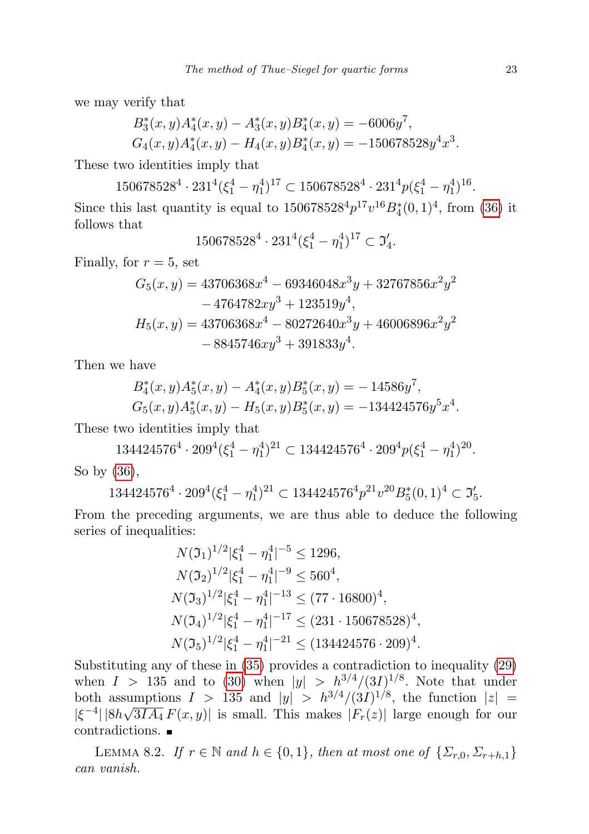we may verify that

$$
B_3^*(x, y)A_4^*(x, y) - A_3^*(x, y)B_4^*(x, y) = -6006y^7,
$$
  
\n
$$
G_4(x, y)A_4^*(x, y) - H_4(x, y)B_4^*(x, y) = -150678528y^4x^3.
$$

These two identities imply that

 $150678528^4 \cdot 231^4 (\xi_1^4 - \eta_1^4)^{17} \subset 150678528^4 \cdot 231^4 p (\xi_1^4 - \eta_1^4)^{16}$ . Since this last quantity is equal to  $150678528^4 p^{17} v^{16} B_4^*(0, 1)^4$ , from [\(36\)](#page-20-0) it follows that

$$
150678528^4 \cdot 231^4 \left(\xi_1^4 - \eta_1^4\right)^{17} \subset \mathfrak{I}_4'.
$$

Finally, for  $r = 5$ , set

$$
G_5(x, y) = 43706368x^4 - 69346048x^3y + 32767856x^2y^2
$$
  
- 4764782xy<sup>3</sup> + 123519y<sup>4</sup>,  

$$
H_5(x, y) = 43706368x^4 - 80272640x^3y + 46006896x^2y^2
$$
  
- 8845746xy<sup>3</sup> + 391833y<sup>4</sup>.

Then we have

$$
B_4^*(x, y)A_5^*(x, y) - A_4^*(x, y)B_5^*(x, y) = -14586y^7,
$$
  
\n
$$
G_5(x, y)A_5^*(x, y) - H_5(x, y)B_5^*(x, y) = -134424576y^5x^4.
$$

These two identities imply that

 $134424576^4 \cdot 209^4 (\xi_1^4 - \eta_1^4)^{21} \subset 134424576^4 \cdot 209^4 p (\xi_1^4 - \eta_1^4)^{20}$ . So by [\(36\)](#page-20-0),

 $134424576^4 \cdot 209^4 \left( \xi_1^4 - \eta_1^4 \right)^{21} \subset 134424576^4 p^{21} v^{20} B_5^*(0, 1)^4 \subset \mathfrak{I}_5'.$ 

From the preceding arguments, we are thus able to deduce the following series of inequalities:

$$
N(\mathfrak{I}_1)^{1/2} |\xi_1^4 - \eta_1^4|^{-5} \le 1296,
$$
  
\n
$$
N(\mathfrak{I}_2)^{1/2} |\xi_1^4 - \eta_1^4|^{-9} \le 560^4,
$$
  
\n
$$
N(\mathfrak{I}_3)^{1/2} |\xi_1^4 - \eta_1^4|^{-13} \le (77 \cdot 16800)^4,
$$
  
\n
$$
N(\mathfrak{I}_4)^{1/2} |\xi_1^4 - \eta_1^4|^{-17} \le (231 \cdot 150678528)^4,
$$
  
\n
$$
N(\mathfrak{I}_5)^{1/2} |\xi_1^4 - \eta_1^4|^{-21} \le (134424576 \cdot 209)^4.
$$

Substituting any of these in [\(35\)](#page-20-0) provides a contradiction to inequality [\(29\)](#page-15-1) when  $I > 135$  and to [\(30\)](#page-16-0) when  $|y| > h^{3/4}/(3I)^{1/8}$ . Note that under both assumptions  $I > 135$  and  $|y| > h^{3/4}/(3I)^{1/8}$ , the function  $|z| =$  $|\xi^{-4}| |8h\sqrt{3IA_4} F(x, y)|$  is small. This makes  $|F_r(z)|$  large enough for our contradictions.

<span id="page-22-0"></span>LEMMA 8.2. If  $r \in \mathbb{N}$  and  $h \in \{0,1\}$ , then at most one of  $\{\Sigma_{r,0}, \Sigma_{r+h,1}\}$ can vanish.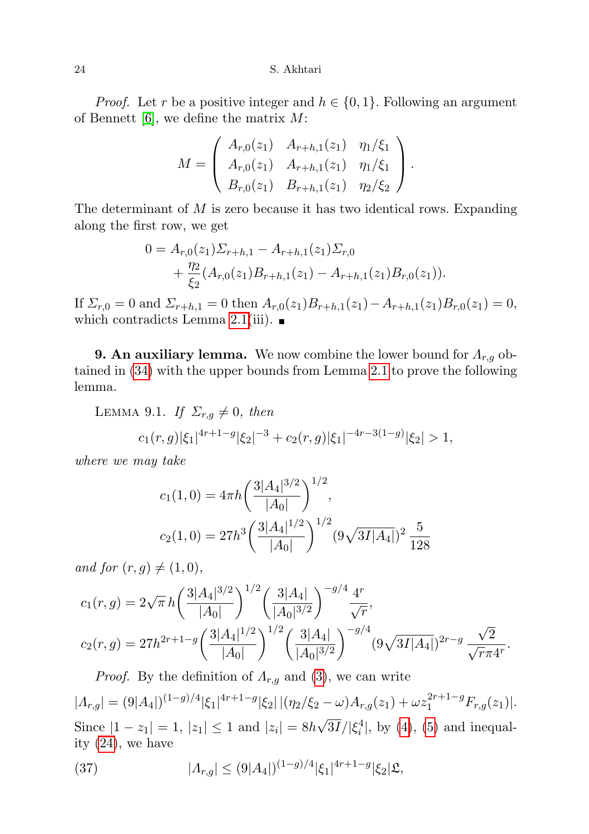24 S. Akhtari

*Proof.* Let r be a positive integer and  $h \in \{0, 1\}$ . Following an argument of Bennett  $[6]$ , we define the matrix  $M$ :

$$
M = \begin{pmatrix} A_{r,0}(z_1) & A_{r+h,1}(z_1) & \eta_1/\xi_1 \\ A_{r,0}(z_1) & A_{r+h,1}(z_1) & \eta_1/\xi_1 \\ B_{r,0}(z_1) & B_{r+h,1}(z_1) & \eta_2/\xi_2 \end{pmatrix}.
$$

The determinant of  $M$  is zero because it has two identical rows. Expanding along the first row, we get

$$
0 = A_{r,0}(z_1) \Sigma_{r+h,1} - A_{r+h,1}(z_1) \Sigma_{r,0}
$$
  
+ 
$$
\frac{\eta_2}{\xi_2} (A_{r,0}(z_1) B_{r+h,1}(z_1) - A_{r+h,1}(z_1) B_{r,0}(z_1)).
$$

If  $\Sigma_{r,0} = 0$  and  $\Sigma_{r+h,1} = 0$  then  $A_{r,0}(z_1)B_{r+h,1}(z_1) - A_{r+h,1}(z_1)B_{r,0}(z_1) = 0$ , which contradicts Lemma [2.1\(](#page-2-0)iii).  $\blacksquare$ 

**9. An auxiliary lemma.** We now combine the lower bound for  $\Lambda_{r,q}$  obtained in [\(34\)](#page-19-0) with the upper bounds from Lemma [2.1](#page-2-0) to prove the following lemma.

<span id="page-23-0"></span>LEMMA 9.1. If  $\Sigma_{r,q} \neq 0$ , then

$$
c_1(r,g)|\xi_1|^{4r+1-g}|\xi_2|^{-3} + c_2(r,g)|\xi_1|^{-4r-3(1-g)}|\xi_2| > 1,
$$

where we may take

$$
c_1(1,0) = 4\pi h \left(\frac{3|A_4|^{3/2}}{|A_0|}\right)^{1/2},
$$
  

$$
c_2(1,0) = 27h^3 \left(\frac{3|A_4|^{1/2}}{|A_0|}\right)^{1/2} (9\sqrt{3I|A_4|})^2 \frac{5}{128}
$$

and for  $(r, q) \neq (1, 0)$ ,

$$
c_1(r,g) = 2\sqrt{\pi} h \left(\frac{3|A_4|^{3/2}}{|A_0|}\right)^{1/2} \left(\frac{3|A_4|}{|A_0|^{3/2}}\right)^{-g/4} \frac{4^r}{\sqrt{r}},
$$
  
\n
$$
c_2(r,g) = 27h^{2r+1-g} \left(\frac{3|A_4|^{1/2}}{|A_0|}\right)^{1/2} \left(\frac{3|A_4|}{|A_0|^{3/2}}\right)^{-g/4} (9\sqrt{3I|A_4|})^{2r-g} \frac{\sqrt{2}}{\sqrt{r}\pi 4^r}.
$$
  
\n*Proof.* By the definition of  $A_{r,g}$  and (3), we can write

 $|A_{r,g}| = (9|A_4|)^{(1-g)/4} |\xi_1|^{4r+1-g} |\xi_2| |(\eta_2/\xi_2 - \omega) A_{r,g}(z_1) + \omega z_1^{2r+1-g} F_{r,g}(z_1)|.$ Since  $|1 - z_1| = 1$ ,  $|z_1| \le 1$  and  $|z_i| = 8h$ √  $\overline{3I}/|\xi_i^4|$ , by [\(4\)](#page-3-2), [\(5\)](#page-3-3) and inequality [\(24\)](#page-13-1), we have

(37) 
$$
|A_{r,g}| \le (9|A_4|)^{(1-g)/4} |\xi_1|^{4r+1-g} |\xi_2| \mathfrak{L},
$$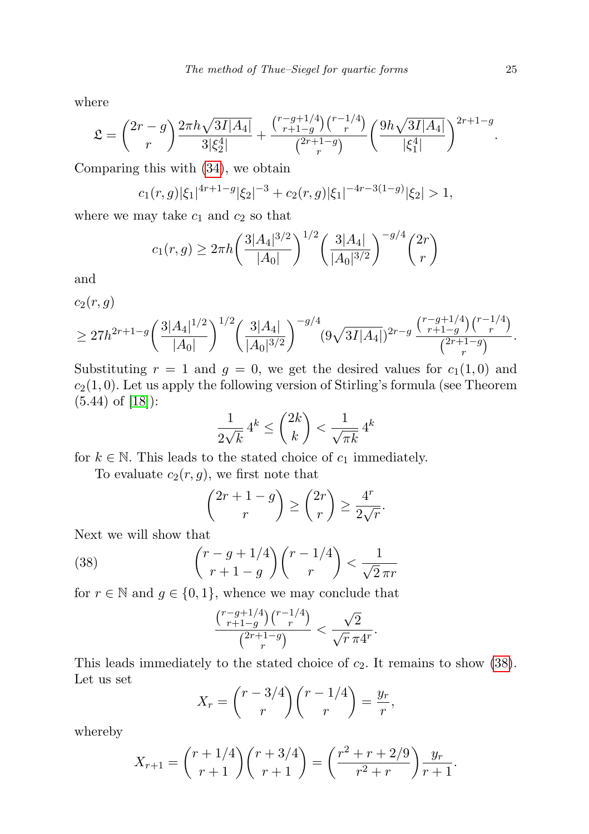where

$$
\mathfrak{L} = \binom{2r-g}{r} \frac{2\pi h \sqrt{3I|A_4|}}{3|\xi_2^4|} + \frac{\binom{r-g+1/4}{r+1-g} \binom{r-1/4}{r}}{\binom{2r+1-g}{r}} \left(\frac{9h \sqrt{3I|A_4|}}{|\xi_1^4|}\right)^{2r+1-g}.
$$

Comparing this with [\(34\)](#page-19-0), we obtain

$$
c_1(r,g)|\xi_1|^{4r+1-g}|\xi_2|^{-3} + c_2(r,g)|\xi_1|^{-4r-3(1-g)}|\xi_2| > 1,
$$

where we may take  $c_1$  and  $c_2$  so that

$$
c_1(r,g) \ge 2\pi h \left(\frac{3|A_4|^{3/2}}{|A_0|}\right)^{1/2} \left(\frac{3|A_4|}{|A_0|^{3/2}}\right)^{-g/4} \binom{2r}{r}
$$

and

$$
c_2(r,g) \geq 27h^{2r+1-g} \left(\frac{3|A_4|^{1/2}}{|A_0|}\right)^{1/2} \left(\frac{3|A_4|}{|A_0|^{3/2}}\right)^{-g/4} (9\sqrt{3I|A_4|})^{2r-g} \frac{{r-g+1/4\choose r+1-g} {r-1/4\choose r}}{{2r+1-g\choose r}}.
$$

Substituting  $r = 1$  and  $g = 0$ , we get the desired values for  $c_1(1, 0)$  and  $c_2(1,0)$ . Let us apply the following version of Stirling's formula (see Theorem (5.44) of [\[18\]](#page-30-7)):

$$
\frac{1}{2\sqrt{k}} 4^k \le \binom{2k}{k} < \frac{1}{\sqrt{\pi k}} 4^k
$$

for  $k \in \mathbb{N}$ . This leads to the stated choice of  $c_1$  immediately.

To evaluate  $c_2(r, g)$ , we first note that

$$
\binom{2r+1-g}{r} \ge \binom{2r}{r} \ge \frac{4^r}{2\sqrt{r}}.
$$

Next we will show that

(38) 
$$
\binom{r-g+1/4}{r+1-g}\binom{r-1/4}{r} < \frac{1}{\sqrt{2}\pi r}
$$

for  $r \in \mathbb{N}$  and  $g \in \{0, 1\}$ , whence we may conclude that

<span id="page-24-0"></span>
$$
\frac{{r-g+1/4\choose r+1-g}{r-1/4\choose r}}{{2r+1-g\choose r}}<\frac{\sqrt{2}}{\sqrt{r}\,\pi 4^r}.
$$

This leads immediately to the stated choice of  $c_2$ . It remains to show [\(38\)](#page-24-0). Let us set

$$
X_r = {r-3/4 \choose r} {r-1/4 \choose r} = \frac{y_r}{r},
$$

whereby

$$
X_{r+1} = {r+1/4 \choose r+1} {r+3/4 \choose r+1} = \left(\frac{r^2+r+2/9}{r^2+r}\right) \frac{y_r}{r+1}.
$$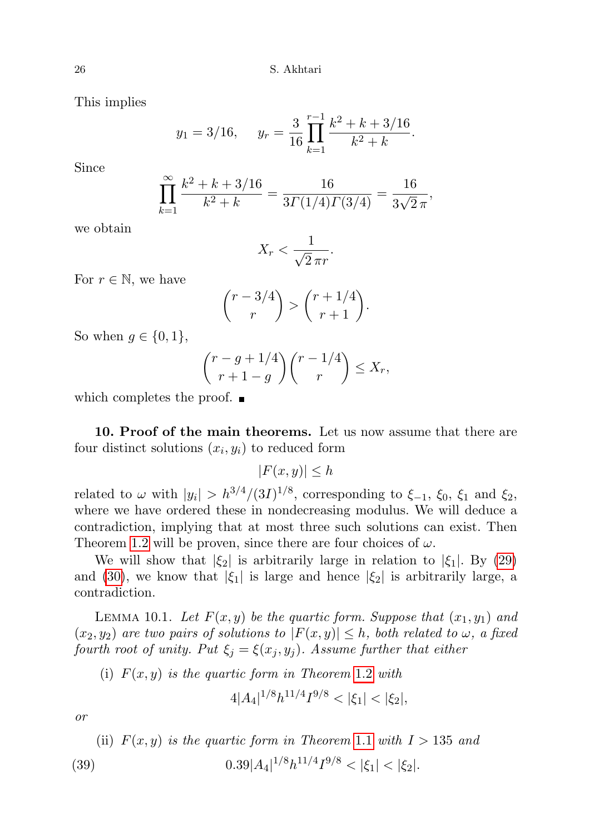This implies

$$
y_1 = 3/16
$$
,  $y_r = \frac{3}{16} \prod_{k=1}^{r-1} \frac{k^2 + k + 3/16}{k^2 + k}$ .

Since

$$
\prod_{k=1}^{\infty} \frac{k^2 + k + 3/16}{k^2 + k} = \frac{16}{3\Gamma(1/4)\Gamma(3/4)} = \frac{16}{3\sqrt{2}\pi},
$$

we obtain

$$
X_r < \frac{1}{\sqrt{2}\,\pi r}.
$$

For  $r \in \mathbb{N}$ , we have

$$
\binom{r-3/4}{r} > \binom{r+1/4}{r+1}.
$$

So when  $q \in \{0, 1\}$ ,

$$
\binom{r-g+1/4}{r+1-g}\binom{r-1/4}{r} \le X_r,
$$

which completes the proof.  $\blacksquare$ 

10. Proof of the main theorems. Let us now assume that there are four distinct solutions  $(x_i, y_i)$  to reduced form

$$
|F(x,y)| \leq h
$$

related to  $\omega$  with  $|y_i| > h^{3/4}/(3I)^{1/8}$ , corresponding to  $\xi_{-1}$ ,  $\xi_0$ ,  $\xi_1$  and  $\xi_2$ , where we have ordered these in nondecreasing modulus. We will deduce a contradiction, implying that at most three such solutions can exist. Then Theorem [1.2](#page-1-2) will be proven, since there are four choices of  $\omega$ .

We will show that  $|\xi_2|$  is arbitrarily large in relation to  $|\xi_1|$ . By [\(29\)](#page-15-1) and [\(30\)](#page-16-0), we know that  $|\xi_1|$  is large and hence  $|\xi_2|$  is arbitrarily large, a contradiction.

LEMMA 10.1. Let  $F(x, y)$  be the quartic form. Suppose that  $(x_1, y_1)$  and  $(x_2, y_2)$  are two pairs of solutions to  $|F(x, y)| \leq h$ , both related to  $\omega$ , a fixed fourth root of unity. Put  $\xi_j = \xi(x_j, y_j)$ . Assume further that either

(i)  $F(x, y)$  is the quartic form in Theorem [1](#page-1-2).2 with

$$
4|A_4|^{1/8}h^{11/4}I^{9/8} < |\xi_1| < |\xi_2|,
$$

or

<span id="page-25-0"></span>(ii) 
$$
F(x, y)
$$
 is the quartic form in Theorem 1.1 with  $I > 135$  and  
(39)  $0.39|A_4|^{1/8}h^{11/4}I^{9/8} < |\xi_1| < |\xi_2|$ .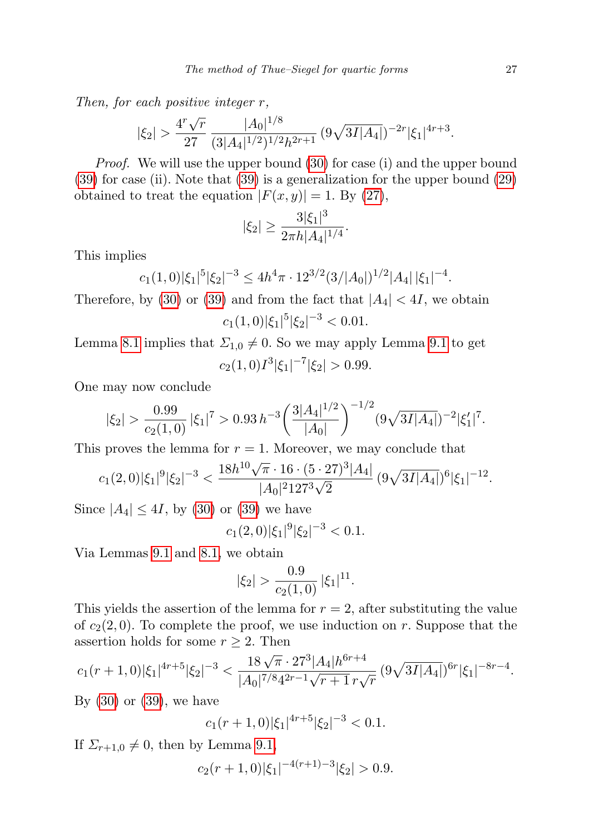Then, for each positive integer r,

$$
|\xi_2|
$$
 >  $\frac{4^r \sqrt{r}}{27} \frac{|A_0|^{1/8}}{(3|A_4|^{1/2})^{1/2} h^{2r+1}} (9\sqrt{3I|A_4|})^{-2r} |\xi_1|^{4r+3}$ .

Proof. We will use the upper bound [\(30\)](#page-16-0) for case (i) and the upper bound [\(39\)](#page-25-0) for case (ii). Note that [\(39\)](#page-25-0) is a generalization for the upper bound [\(29\)](#page-15-1) obtained to treat the equation  $|F(x, y)| = 1$ . By [\(27\)](#page-15-0),

$$
|\xi_2| \ge \frac{3|\xi_1|^3}{2\pi h|A_4|^{1/4}}.
$$

This implies

$$
c_1(1,0)|\xi_1|^{5}|\xi_2|^{-3} \le 4h^4\pi \cdot 12^{3/2}(3/|A_0|)^{1/2}|A_4| |\xi_1|^{-4}.
$$

Therefore, by [\(30\)](#page-16-0) or [\(39\)](#page-25-0) and from the fact that  $|A_4| < 4I$ , we obtain  $c_1(1,0)|\xi_1|^5|\xi_2|^{-3} < 0.01.$ 

Lemma [8.1](#page-19-1) implies that  $\Sigma_{1,0} \neq 0$ . So we may apply Lemma [9.1](#page-23-0) to get  $c_2(1,0)I^3|\xi_1|^{-7}|\xi_2| > 0.99.$ 

One may now conclude

$$
|\xi_2| > \frac{0.99}{c_2(1,0)} |\xi_1|^7 > 0.93 h^{-3} \left( \frac{3|A_4|^{1/2}}{|A_0|} \right)^{-1/2} (9\sqrt{3I|A_4|})^{-2} |\xi_1'|^7.
$$

This proves the lemma for  $r = 1$ . Moreover, we may conclude that

$$
c_1(2,0)|\xi_1|^9|\xi_2|^{-3} < \frac{18h^{10}\sqrt{\pi} \cdot 16 \cdot (5 \cdot 27)^3|A_4|}{|A_0|^2 127^3 \sqrt{2}} (9\sqrt{3I|A_4|})^6 |\xi_1|^{-12}.
$$

Since  $|A_4| \leq 4I$ , by [\(30\)](#page-16-0) or [\(39\)](#page-25-0) we have

$$
c_1(2,0)|\xi_1|^9|\xi_2|^{-3} < 0.1.
$$

Via Lemmas [9.1](#page-23-0) and [8.1,](#page-19-1) we obtain

$$
|\xi_2| > \frac{0.9}{c_2(1,0)} |\xi_1|^{11}.
$$

This yields the assertion of the lemma for  $r = 2$ , after substituting the value of  $c_2(2, 0)$ . To complete the proof, we use induction on r. Suppose that the assertion holds for some  $r \geq 2$ . Then

$$
c_1(r+1,0)|\xi_1|^{4r+5}|\xi_2|^{-3} < \frac{18\sqrt{\pi} \cdot 27^3|A_4|h^{6r+4}}{|A_0|^{7/8}4^{2r-1}\sqrt{r+1}r\sqrt{r}} \left(9\sqrt{3I|A_4|}\right)^{6r}|\xi_1|^{-8r-4}.
$$

By  $(30)$  or  $(39)$ , we have

 $c_1(r+1,0)|\xi_1|^{4r+5}|\xi_2|^{-3} < 0.1.$ 

If  $\Sigma_{r+1,0} \neq 0$ , then by Lemma [9.1,](#page-23-0)

$$
c_2(r+1,0)|\xi_1|^{-4(r+1)-3}|\xi_2| > 0.9.
$$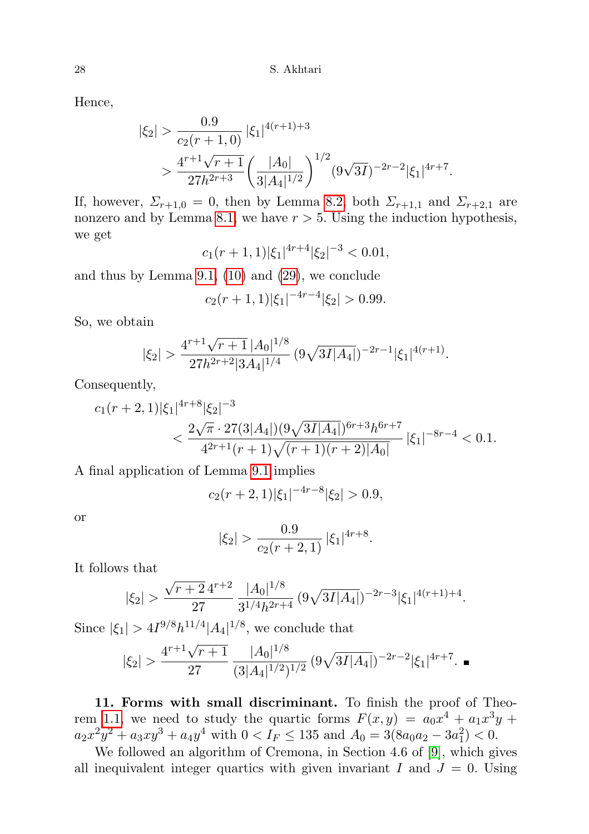Hence,

$$
\begin{split} |\xi_2| &> \frac{0.9}{c_2(r+1,0)} |\xi_1|^{4(r+1)+3} \\ &> \frac{4^{r+1}\sqrt{r+1}}{27h^{2r+3}} \left(\frac{|A_0|}{3|A_4|^{1/2}}\right)^{1/2} (9\sqrt{3I})^{-2r-2} |\xi_1|^{4r+7}. \end{split}
$$

If, however,  $\Sigma_{r+1,0} = 0$ , then by Lemma [8.2,](#page-22-0) both  $\Sigma_{r+1,1}$  and  $\Sigma_{r+2,1}$  are nonzero and by Lemma [8.1,](#page-19-1) we have  $r > 5$ . Using the induction hypothesis, we get

$$
c_1(r+1,1)|\xi_1|^{4r+4}|\xi_2|^{-3} < 0.01,
$$

and thus by Lemma [9.1,](#page-23-0) [\(10\)](#page-4-1) and [\(29\)](#page-15-1), we conclude

$$
c_2(r+1,1)|\xi_1|^{-4r-4}|\xi_2| > 0.99.
$$

So, we obtain

$$
|\xi_2|>\frac{4^{r+1}\sqrt{r+1}\,|A_0|^{1/8}}{27h^{2r+2}|3A_4|^{1/4}}\,(9\sqrt{3I|A_4|})^{-2r-1}|\xi_1|^{4(r+1)}.
$$

Consequently,

$$
c_{1}(r+2,1)|\xi_{1}|^{4r+8}|\xi_{2}|^{-3}
$$
  

$$
< \frac{2\sqrt{\pi} \cdot 27(3|A_{4}|)(9\sqrt{3I|A_{4}|})^{6r+3}h^{6r+7}}{4^{2r+1}(r+1)\sqrt{(r+1)(r+2)|A_{0}|}} |\xi_{1}|^{-8r-4} < 0.1.
$$

A final application of Lemma [9.1](#page-23-0) implies

$$
c_2(r+2,1)|\xi_1|^{-4r-8}|\xi_2| > 0.9,
$$

or

$$
|\xi_2|
$$
 >  $\frac{0.9}{c_2(r+2,1)}$   $|\xi_1|^{4r+8}$ .

It follows that

$$
|\xi_2|
$$
 >  $\frac{\sqrt{r+2}4^{r+2}}{27} \frac{|A_0|^{1/8}}{3^{1/4}h^{2r+4}} (9\sqrt{3I|A_4|})^{-2r-3} |\xi_1|^{4(r+1)+4}.$ 

Since  $|\xi_1| > 4I^{9/8}h^{11/4}|A_4|^{1/8}$ , we conclude that

$$
|\xi_2|
$$
 >  $\frac{4^{r+1}\sqrt{r+1}}{27} \frac{|A_0|^{1/8}}{(3|A_4|^{1/2})^{1/2}} (9\sqrt{3I|A_4|})^{-2r-2} |\xi_1|^{4r+7}$ .

<span id="page-27-0"></span>11. Forms with small discriminant. To finish the proof of Theo-rem [1.1,](#page-1-0) we need to study the quartic forms  $F(x,y) = a_0x^4 + a_1x^3y +$  $a_2x^2y^2 + a_3xy^3 + a_4y^4$  with  $0 < I_F \le 135$  and  $A_0 = 3(8a_0a_2 - 3a_1^2) < 0$ .

We followed an algorithm of Cremona, in Section 4.6 of [\[9\]](#page-29-0), which gives all inequivalent integer quartics with given invariant I and  $J = 0$ . Using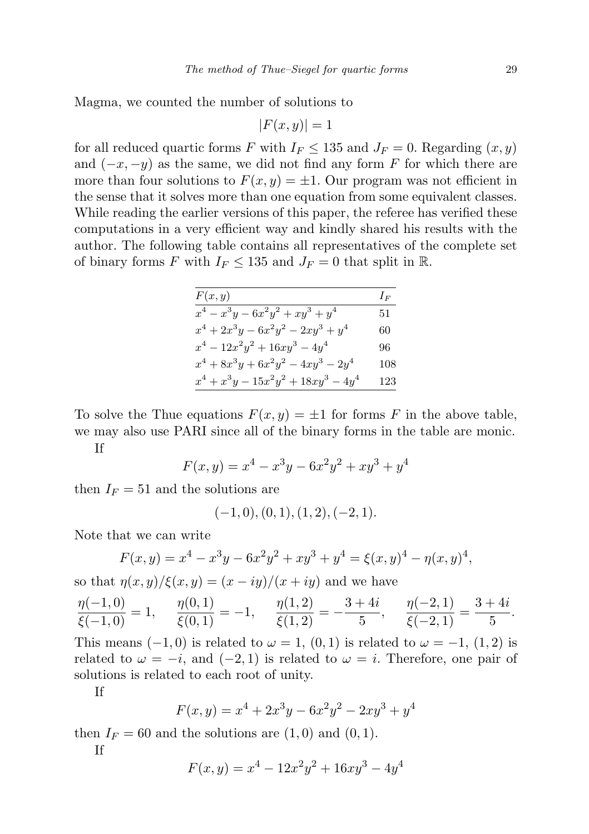Magma, we counted the number of solutions to

$$
|F(x,y)| = 1
$$

for all reduced quartic forms F with  $I_F \le 135$  and  $J_F = 0$ . Regarding  $(x, y)$ and  $(-x, -y)$  as the same, we did not find any form F for which there are more than four solutions to  $F(x, y) = \pm 1$ . Our program was not efficient in the sense that it solves more than one equation from some equivalent classes. While reading the earlier versions of this paper, the referee has verified these computations in a very efficient way and kindly shared his results with the author. The following table contains all representatives of the complete set of binary forms F with  $I_F \le 135$  and  $J_F = 0$  that split in R.

| F(x, y)                                 | $I_F$ |
|-----------------------------------------|-------|
| $x^4 - x^3y - 6x^2y^2 + xy^3 + y^4$     | 51    |
| $x^4 + 2x^3y - 6x^2y^2 - 2xy^3 + y^4$   | 60    |
| $x^4 - 12x^2y^2 + 16xy^3 - 4y^4$        | 96    |
| $x^4 + 8x^3y + 6x^2y^2 - 4xy^3 - 2y^4$  | 108   |
| $x^4 + x^3y - 15x^2y^2 + 18xy^3 - 4y^4$ | 123   |

To solve the Thue equations  $F(x, y) = \pm 1$  for forms F in the above table, we may also use PARI since all of the binary forms in the table are monic.

If

$$
F(x, y) = x^4 - x^3y - 6x^2y^2 + xy^3 + y^4
$$

then  $I_F = 51$  and the solutions are

$$
(-1,0), (0,1), (1,2), (-2,1).
$$

Note that we can write

$$
F(x,y) = x4 - x3y - 6x2y2 + xy3 + y4 = \xi(x,y)4 - \eta(x,y)4,
$$

so that  $\eta(x, y)/\xi(x, y) = (x - iy)/(x + iy)$  and we have

$$
\frac{\eta(-1,0)}{\xi(-1,0)} = 1, \quad \frac{\eta(0,1)}{\xi(0,1)} = -1, \quad \frac{\eta(1,2)}{\xi(1,2)} = -\frac{3+4i}{5}, \quad \frac{\eta(-2,1)}{\xi(-2,1)} = \frac{3+4i}{5}.
$$

This means  $(-1, 0)$  is related to  $\omega = 1$ ,  $(0, 1)$  is related to  $\omega = -1$ ,  $(1, 2)$  is related to  $\omega = -i$ , and  $(-2, 1)$  is related to  $\omega = i$ . Therefore, one pair of solutions is related to each root of unity.

If

$$
F(x,y) = x^4 + 2x^3y - 6x^2y^2 - 2xy^3 + y^4
$$

then  $I_F = 60$  and the solutions are  $(1, 0)$  and  $(0, 1)$ .

If

$$
F(x, y) = x^4 - 12x^2y^2 + 16xy^3 - 4y^4
$$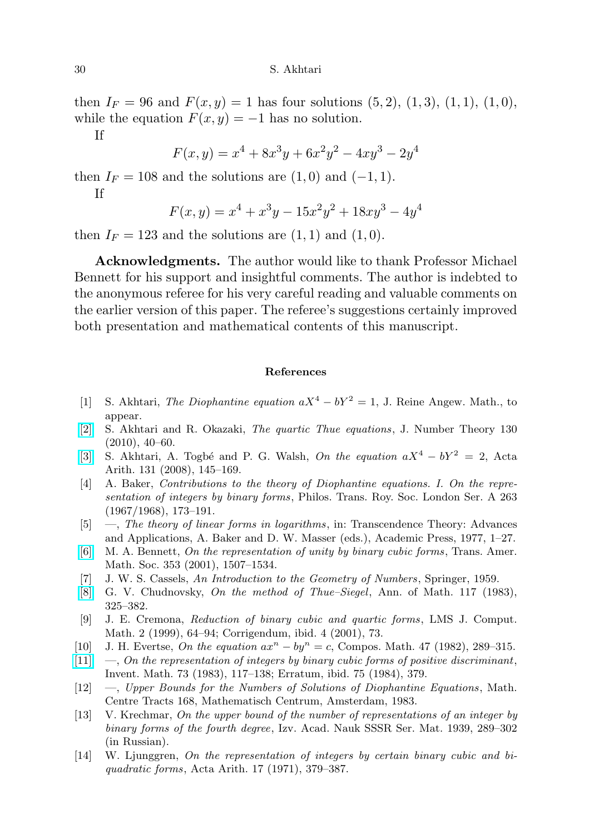then  $I_F = 96$  and  $F(x, y) = 1$  has four solutions  $(5, 2), (1, 3), (1, 1), (1, 0),$ while the equation  $F(x, y) = -1$  has no solution.

If

$$
F(x,y) = x^4 + 8x^3y + 6x^2y^2 - 4xy^3 - 2y^4
$$

then  $I_F = 108$  and the solutions are  $(1,0)$  and  $(-1,1)$ .

If

$$
F(x,y) = x^4 + x^3y - 15x^2y^2 + 18xy^3 - 4y^4
$$

then  $I_F = 123$  and the solutions are  $(1, 1)$  and  $(1, 0)$ .

Acknowledgments. The author would like to thank Professor Michael Bennett for his support and insightful comments. The author is indebted to the anonymous referee for his very careful reading and valuable comments on the earlier version of this paper. The referee's suggestions certainly improved both presentation and mathematical contents of this manuscript.

## References

- <span id="page-29-2"></span>[1] S. Akhtari, The Diophantine equation  $aX^4 - bY^2 = 1$ , J. Reine Angew. Math., to appear.
- <span id="page-29-1"></span>[\[2\]](http://dx.doi.org/10.1016/j.jnt.2009.07.010) S. Akhtari and R. Okazaki, The quartic Thue equations, J. Number Theory 130  $(2010), 40-60.$
- [\[3\]](http://dx.doi.org/10.4064/aa131-2-3) S. Akhtari, A. Togbé and P. G. Walsh, On the equation  $aX^4 bY^2 = 2$ , Acta Arith. 131 (2008), 145–169.
- <span id="page-29-5"></span>[4] A. Baker, Contributions to the theory of Diophantine equations. I. On the representation of integers by binary forms, Philos. Trans. Roy. Soc. London Ser. A 263 (1967/1968), 173–191.
- <span id="page-29-6"></span>[5] —, The theory of linear forms in logarithms, in: Transcendence Theory: Advances and Applications, A. Baker and D. W. Masser (eds.), Academic Press, 1977, 1–27.
- <span id="page-29-8"></span>[\[6\]](http://dx.doi.org/10.1090/S0002-9947-00-02658-1) M. A. Bennett, On the representation of unity by binary cubic forms, Trans. Amer. Math. Soc. 353 (2001), 1507–1534.
- <span id="page-29-10"></span>[7] J. W. S. Cassels, An Introduction to the Geometry of Numbers, Springer, 1959.
- <span id="page-29-11"></span>[\[8\]](http://dx.doi.org/10.2307/2007080) G. V. Chudnovsky, On the method of Thue–Siegel, Ann. of Math. 117 (1983), 325–382.
- <span id="page-29-0"></span>[9] J. E. Cremona, Reduction of binary cubic and quartic forms, LMS J. Comput. Math. 2 (1999), 64–94; Corrigendum, ibid. 4 (2001), 73.
- <span id="page-29-3"></span>[10] J. H. Evertse, On the equation  $ax^n - by^n = c$ , Compos. Math. 47 (1982), 289–315.
- <span id="page-29-7"></span> $[11] \quad [11] \quad -$ , On the representation of integers by binary cubic forms of positive discriminant, Invent. Math. 73 (1983), 117–138; Erratum, ibid. 75 (1984), 379.
- <span id="page-29-4"></span>[12] —, Upper Bounds for the Numbers of Solutions of Diophantine Equations , Math. Centre Tracts 168, Mathematisch Centrum, Amsterdam, 1983.
- <span id="page-29-9"></span>[13] V. Krechmar, On the upper bound of the number of representations of an integer by binary forms of the fourth degree, Izv. Acad. Nauk SSSR Ser. Mat. 1939, 289–302 (in Russian).
- [14] W. Ljunggren, On the representation of integers by certain binary cubic and biquadratic forms, Acta Arith. 17 (1971), 379–387.